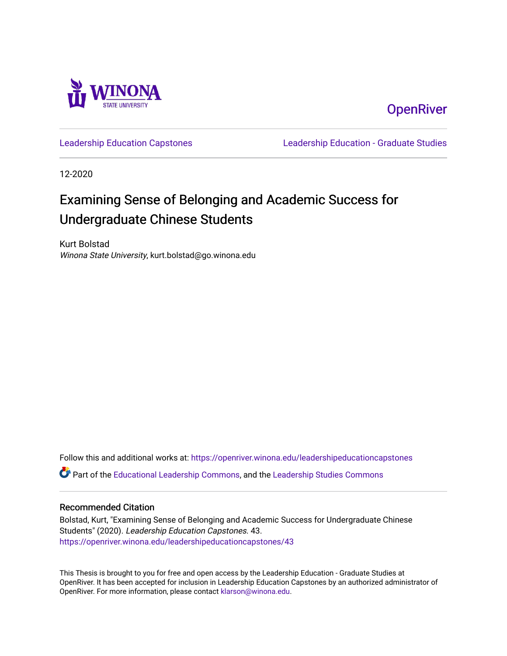

**OpenRiver** 

[Leadership Education Capstones](https://openriver.winona.edu/leadershipeducationcapstones) [Leadership Education - Graduate Studies](https://openriver.winona.edu/leadershipeducation) 

12-2020

# Examining Sense of Belonging and Academic Success for Undergraduate Chinese Students

Kurt Bolstad Winona State University, kurt.bolstad@go.winona.edu

Follow this and additional works at: [https://openriver.winona.edu/leadershipeducationcapstones](https://openriver.winona.edu/leadershipeducationcapstones?utm_source=openriver.winona.edu%2Fleadershipeducationcapstones%2F43&utm_medium=PDF&utm_campaign=PDFCoverPages)  Part of the [Educational Leadership Commons,](http://network.bepress.com/hgg/discipline/1230?utm_source=openriver.winona.edu%2Fleadershipeducationcapstones%2F43&utm_medium=PDF&utm_campaign=PDFCoverPages) and the [Leadership Studies Commons](http://network.bepress.com/hgg/discipline/1250?utm_source=openriver.winona.edu%2Fleadershipeducationcapstones%2F43&utm_medium=PDF&utm_campaign=PDFCoverPages)

# Recommended Citation

Bolstad, Kurt, "Examining Sense of Belonging and Academic Success for Undergraduate Chinese Students" (2020). Leadership Education Capstones. 43. [https://openriver.winona.edu/leadershipeducationcapstones/43](https://openriver.winona.edu/leadershipeducationcapstones/43?utm_source=openriver.winona.edu%2Fleadershipeducationcapstones%2F43&utm_medium=PDF&utm_campaign=PDFCoverPages) 

This Thesis is brought to you for free and open access by the Leadership Education - Graduate Studies at OpenRiver. It has been accepted for inclusion in Leadership Education Capstones by an authorized administrator of OpenRiver. For more information, please contact [klarson@winona.edu](mailto:klarson@winona.edu).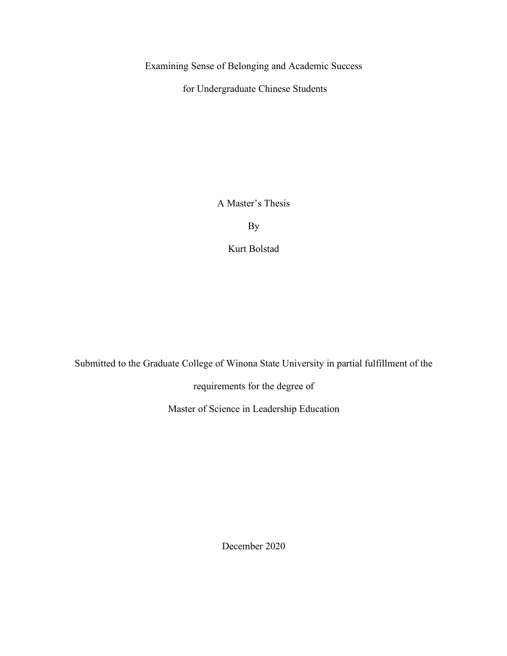Examining Sense of Belonging and Academic Success

for Undergraduate Chinese Students

A Master's Thesis

**By** 

Kurt Bolstad

Submitted to the Graduate College of Winona State University in partial fulfillment of the

requirements for the degree of

Master of Science in Leadership Education

December 2020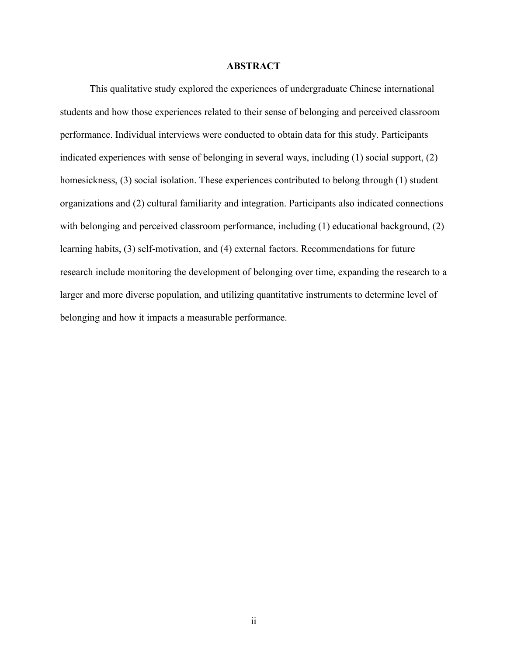# **ABSTRACT**

This qualitative study explored the experiences of undergraduate Chinese international students and how those experiences related to their sense of belonging and perceived classroom performance. Individual interviews were conducted to obtain data for this study. Participants indicated experiences with sense of belonging in several ways, including (1) social support, (2) homesickness, (3) social isolation. These experiences contributed to belong through (1) student organizations and (2) cultural familiarity and integration. Participants also indicated connections with belonging and perceived classroom performance, including (1) educational background, (2) learning habits, (3) self-motivation, and (4) external factors. Recommendations for future research include monitoring the development of belonging over time, expanding the research to a larger and more diverse population, and utilizing quantitative instruments to determine level of belonging and how it impacts a measurable performance.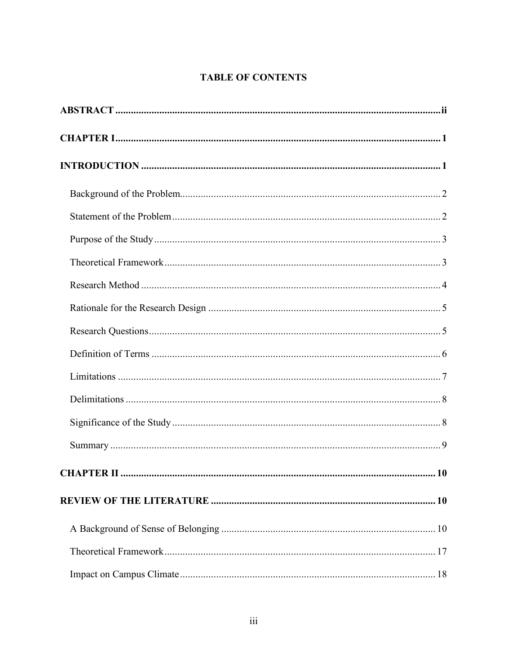# **TABLE OF CONTENTS**

| <b>CHAPTER II </b> | 10 |
|--------------------|----|
|                    |    |
|                    |    |
|                    |    |
|                    |    |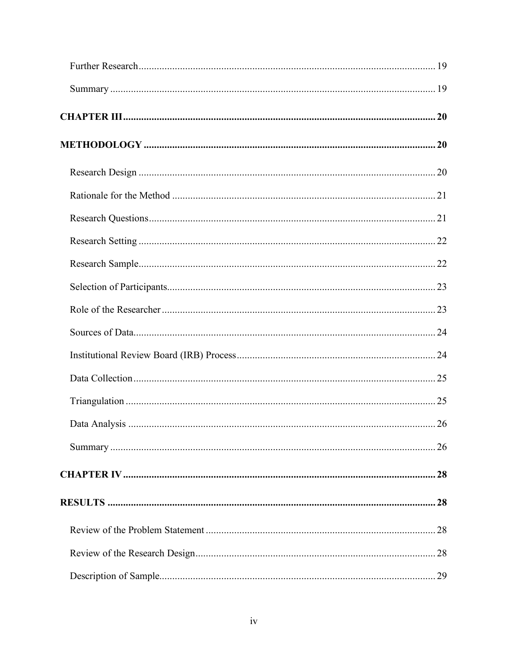| 28 |
|----|
|    |
| 29 |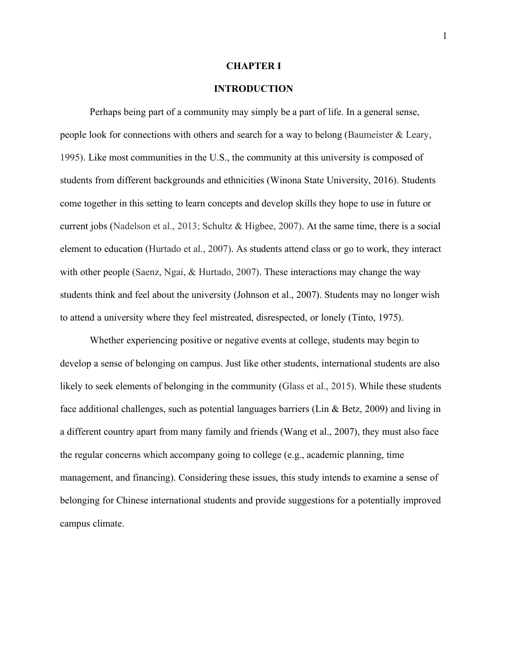#### **CHAPTER I**

# **INTRODUCTION**

Perhaps being part of a community may simply be a part of life. In a general sense, people look for connections with others and search for a way to belong (Baumeister & Leary, 1995). Like most communities in the U.S., the community at this university is composed of students from different backgrounds and ethnicities (Winona State University, 2016). Students come together in this setting to learn concepts and develop skills they hope to use in future or current jobs (Nadelson et al., 2013; Schultz & Higbee, 2007). At the same time, there is a social element to education (Hurtado et al., 2007). As students attend class or go to work, they interact with other people (Saenz, Ngai, & Hurtado, 2007). These interactions may change the way students think and feel about the university (Johnson et al., 2007). Students may no longer wish to attend a university where they feel mistreated, disrespected, or lonely (Tinto, 1975).

Whether experiencing positive or negative events at college, students may begin to develop a sense of belonging on campus. Just like other students, international students are also likely to seek elements of belonging in the community (Glass et al., 2015). While these students face additional challenges, such as potential languages barriers (Lin & Betz, 2009) and living in a different country apart from many family and friends (Wang et al., 2007), they must also face the regular concerns which accompany going to college (e.g., academic planning, time management, and financing). Considering these issues, this study intends to examine a sense of belonging for Chinese international students and provide suggestions for a potentially improved campus climate.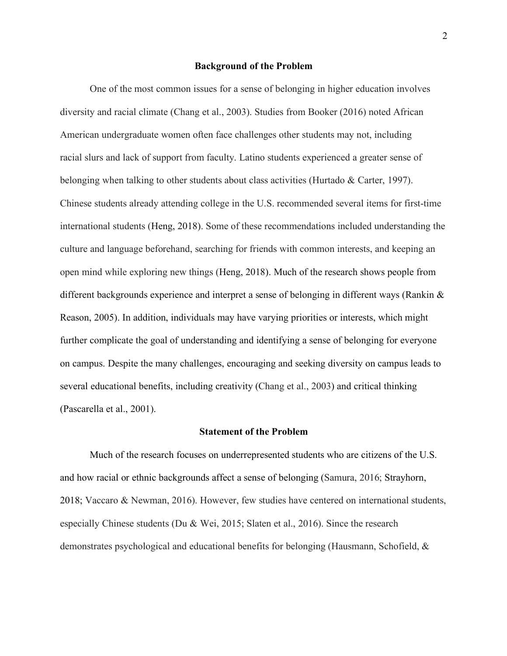#### **Background of the Problem**

One of the most common issues for a sense of belonging in higher education involves diversity and racial climate (Chang et al., 2003). Studies from Booker (2016) noted African American undergraduate women often face challenges other students may not, including racial slurs and lack of support from faculty. Latino students experienced a greater sense of belonging when talking to other students about class activities (Hurtado & Carter, 1997). Chinese students already attending college in the U.S. recommended several items for first-time international students (Heng, 2018). Some of these recommendations included understanding the culture and language beforehand, searching for friends with common interests, and keeping an open mind while exploring new things (Heng, 2018). Much of the research shows people from different backgrounds experience and interpret a sense of belonging in different ways (Rankin & Reason, 2005). In addition, individuals may have varying priorities or interests, which might further complicate the goal of understanding and identifying a sense of belonging for everyone on campus. Despite the many challenges, encouraging and seeking diversity on campus leads to several educational benefits, including creativity (Chang et al., 2003) and critical thinking (Pascarella et al., 2001).

#### **Statement of the Problem**

Much of the research focuses on underrepresented students who are citizens of the U.S. and how racial or ethnic backgrounds affect a sense of belonging (Samura, 2016; Strayhorn, 2018; Vaccaro & Newman, 2016). However, few studies have centered on international students, especially Chinese students (Du & Wei, 2015; Slaten et al., 2016). Since the research demonstrates psychological and educational benefits for belonging (Hausmann, Schofield, &

2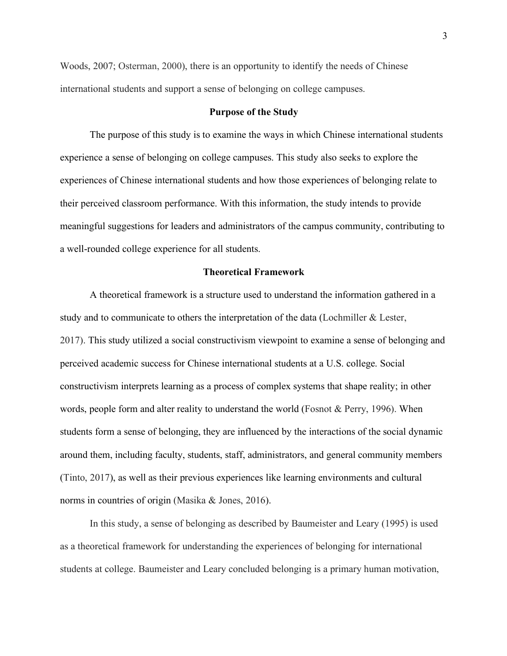Woods, 2007; Osterman, 2000), there is an opportunity to identify the needs of Chinese international students and support a sense of belonging on college campuses.

# **Purpose of the Study**

The purpose of this study is to examine the ways in which Chinese international students experience a sense of belonging on college campuses. This study also seeks to explore the experiences of Chinese international students and how those experiences of belonging relate to their perceived classroom performance. With this information, the study intends to provide meaningful suggestions for leaders and administrators of the campus community, contributing to a well-rounded college experience for all students.

# **Theoretical Framework**

A theoretical framework is a structure used to understand the information gathered in a study and to communicate to others the interpretation of the data (Lochmiller & Lester, 2017). This study utilized a social constructivism viewpoint to examine a sense of belonging and perceived academic success for Chinese international students at a U.S. college. Social constructivism interprets learning as a process of complex systems that shape reality; in other words, people form and alter reality to understand the world (Fosnot & Perry, 1996). When students form a sense of belonging, they are influenced by the interactions of the social dynamic around them, including faculty, students, staff, administrators, and general community members (Tinto, 2017), as well as their previous experiences like learning environments and cultural norms in countries of origin (Masika & Jones, 2016).

In this study, a sense of belonging as described by Baumeister and Leary (1995) is used as a theoretical framework for understanding the experiences of belonging for international students at college. Baumeister and Leary concluded belonging is a primary human motivation,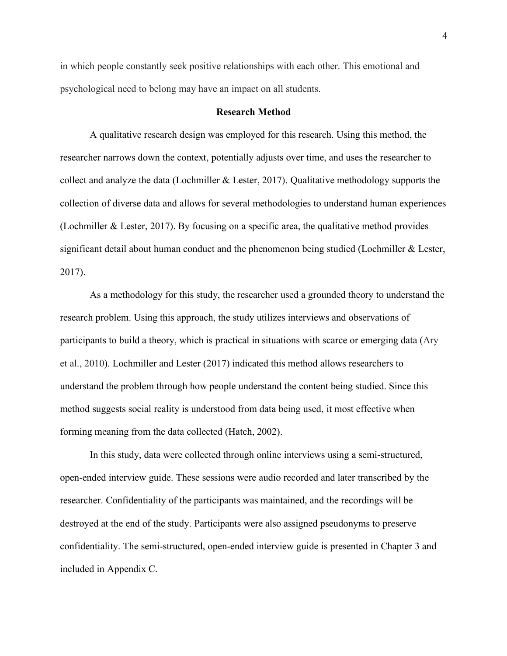in which people constantly seek positive relationships with each other. This emotional and psychological need to belong may have an impact on all students.

## **Research Method**

A qualitative research design was employed for this research. Using this method, the researcher narrows down the context, potentially adjusts over time, and uses the researcher to collect and analyze the data (Lochmiller  $\&$  Lester, 2017). Qualitative methodology supports the collection of diverse data and allows for several methodologies to understand human experiences (Lochmiller & Lester, 2017). By focusing on a specific area, the qualitative method provides significant detail about human conduct and the phenomenon being studied (Lochmiller & Lester, 2017).

As a methodology for this study, the researcher used a grounded theory to understand the research problem. Using this approach, the study utilizes interviews and observations of participants to build a theory, which is practical in situations with scarce or emerging data (Ary et al., 2010). Lochmiller and Lester (2017) indicated this method allows researchers to understand the problem through how people understand the content being studied. Since this method suggests social reality is understood from data being used, it most effective when forming meaning from the data collected (Hatch, 2002).

In this study, data were collected through online interviews using a semi-structured, open-ended interview guide. These sessions were audio recorded and later transcribed by the researcher. Confidentiality of the participants was maintained, and the recordings will be destroyed at the end of the study. Participants were also assigned pseudonyms to preserve confidentiality. The semi-structured, open-ended interview guide is presented in Chapter 3 and included in Appendix C.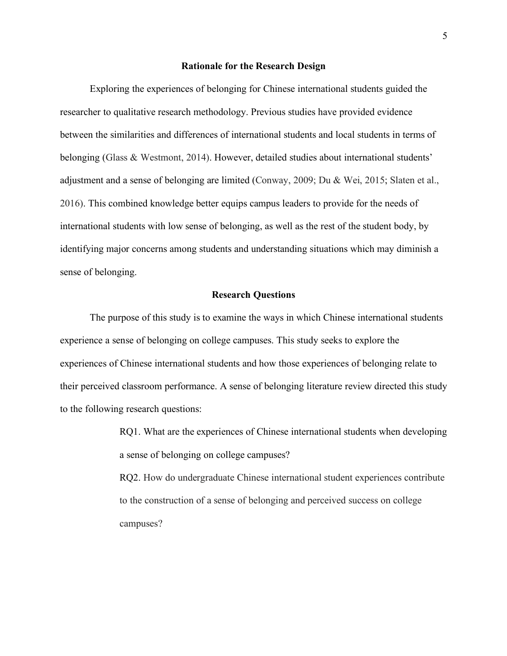#### **Rationale for the Research Design**

Exploring the experiences of belonging for Chinese international students guided the researcher to qualitative research methodology. Previous studies have provided evidence between the similarities and differences of international students and local students in terms of belonging (Glass & Westmont, 2014). However, detailed studies about international students' adjustment and a sense of belonging are limited (Conway, 2009; Du & Wei, 2015; Slaten et al., 2016). This combined knowledge better equips campus leaders to provide for the needs of international students with low sense of belonging, as well as the rest of the student body, by identifying major concerns among students and understanding situations which may diminish a sense of belonging.

# **Research Questions**

The purpose of this study is to examine the ways in which Chinese international students experience a sense of belonging on college campuses. This study seeks to explore the experiences of Chinese international students and how those experiences of belonging relate to their perceived classroom performance. A sense of belonging literature review directed this study to the following research questions:

> RQ1. What are the experiences of Chinese international students when developing a sense of belonging on college campuses?

> RQ2. How do undergraduate Chinese international student experiences contribute to the construction of a sense of belonging and perceived success on college campuses?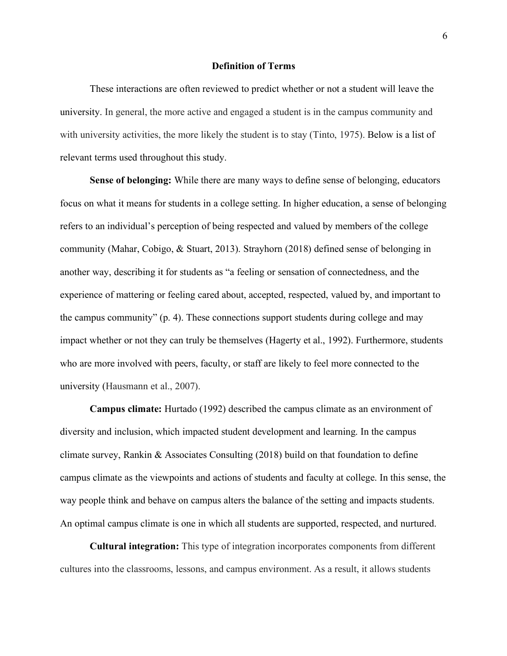#### **Definition of Terms**

These interactions are often reviewed to predict whether or not a student will leave the university. In general, the more active and engaged a student is in the campus community and with university activities, the more likely the student is to stay (Tinto, 1975). Below is a list of relevant terms used throughout this study.

**Sense of belonging:** While there are many ways to define sense of belonging, educators focus on what it means for students in a college setting. In higher education, a sense of belonging refers to an individual's perception of being respected and valued by members of the college community (Mahar, Cobigo, & Stuart, 2013). Strayhorn (2018) defined sense of belonging in another way, describing it for students as "a feeling or sensation of connectedness, and the experience of mattering or feeling cared about, accepted, respected, valued by, and important to the campus community" (p. 4). These connections support students during college and may impact whether or not they can truly be themselves (Hagerty et al., 1992). Furthermore, students who are more involved with peers, faculty, or staff are likely to feel more connected to the university (Hausmann et al., 2007).

**Campus climate:** Hurtado (1992) described the campus climate as an environment of diversity and inclusion, which impacted student development and learning. In the campus climate survey, Rankin & Associates Consulting (2018) build on that foundation to define campus climate as the viewpoints and actions of students and faculty at college. In this sense, the way people think and behave on campus alters the balance of the setting and impacts students. An optimal campus climate is one in which all students are supported, respected, and nurtured.

**Cultural integration:** This type of integration incorporates components from different cultures into the classrooms, lessons, and campus environment. As a result, it allows students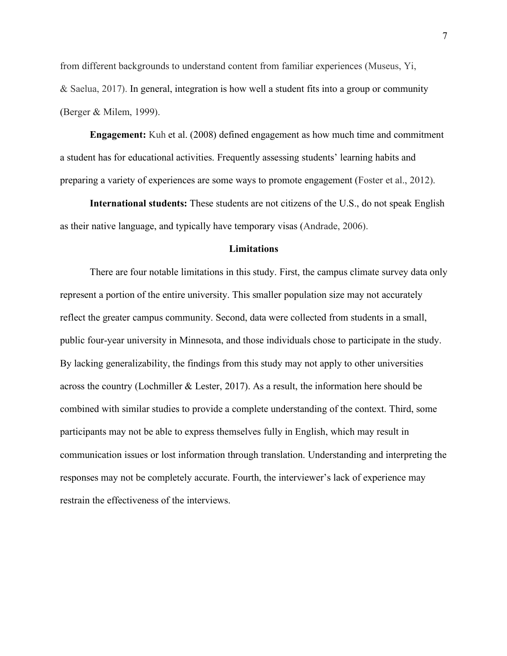from different backgrounds to understand content from familiar experiences (Museus, Yi, & Saelua, 2017). In general, integration is how well a student fits into a group or community (Berger & Milem, 1999).

**Engagement:** Kuh et al. (2008) defined engagement as how much time and commitment a student has for educational activities. Frequently assessing students' learning habits and preparing a variety of experiences are some ways to promote engagement (Foster et al., 2012).

**International students:** These students are not citizens of the U.S., do not speak English as their native language, and typically have temporary visas (Andrade, 2006).

#### **Limitations**

There are four notable limitations in this study. First, the campus climate survey data only represent a portion of the entire university. This smaller population size may not accurately reflect the greater campus community. Second, data were collected from students in a small, public four-year university in Minnesota, and those individuals chose to participate in the study. By lacking generalizability, the findings from this study may not apply to other universities across the country (Lochmiller & Lester, 2017). As a result, the information here should be combined with similar studies to provide a complete understanding of the context. Third, some participants may not be able to express themselves fully in English, which may result in communication issues or lost information through translation. Understanding and interpreting the responses may not be completely accurate. Fourth, the interviewer's lack of experience may restrain the effectiveness of the interviews.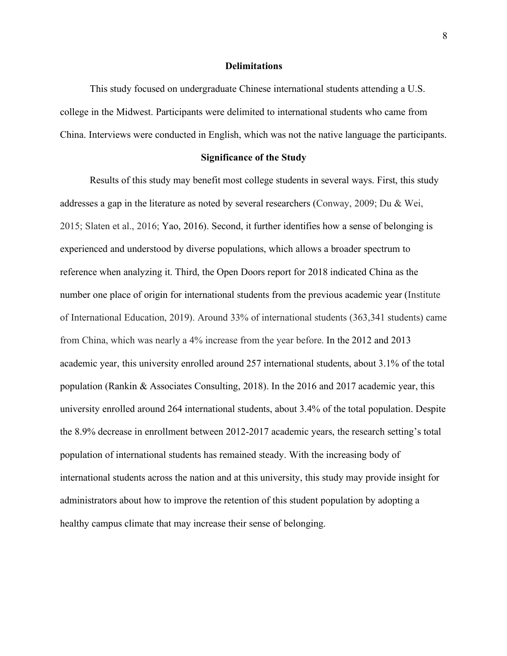### **Delimitations**

This study focused on undergraduate Chinese international students attending a U.S. college in the Midwest. Participants were delimited to international students who came from China. Interviews were conducted in English, which was not the native language the participants.

## **Significance of the Study**

Results of this study may benefit most college students in several ways. First, this study addresses a gap in the literature as noted by several researchers (Conway, 2009; Du & Wei, 2015; Slaten et al., 2016; Yao, 2016). Second, it further identifies how a sense of belonging is experienced and understood by diverse populations, which allows a broader spectrum to reference when analyzing it. Third, the Open Doors report for 2018 indicated China as the number one place of origin for international students from the previous academic year (Institute of International Education, 2019). Around 33% of international students (363,341 students) came from China, which was nearly a 4% increase from the year before. In the 2012 and 2013 academic year, this university enrolled around 257 international students, about 3.1% of the total population (Rankin & Associates Consulting, 2018). In the 2016 and 2017 academic year, this university enrolled around 264 international students, about 3.4% of the total population. Despite the 8.9% decrease in enrollment between 2012-2017 academic years, the research setting's total population of international students has remained steady. With the increasing body of international students across the nation and at this university, this study may provide insight for administrators about how to improve the retention of this student population by adopting a healthy campus climate that may increase their sense of belonging.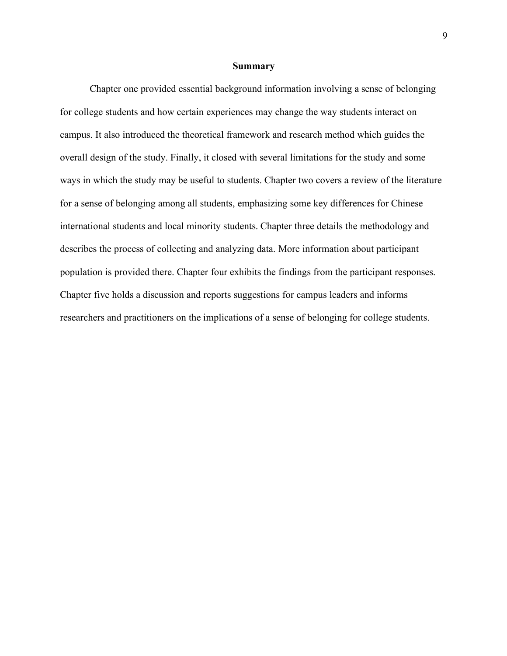#### **Summary**

Chapter one provided essential background information involving a sense of belonging for college students and how certain experiences may change the way students interact on campus. It also introduced the theoretical framework and research method which guides the overall design of the study. Finally, it closed with several limitations for the study and some ways in which the study may be useful to students. Chapter two covers a review of the literature for a sense of belonging among all students, emphasizing some key differences for Chinese international students and local minority students. Chapter three details the methodology and describes the process of collecting and analyzing data. More information about participant population is provided there. Chapter four exhibits the findings from the participant responses. Chapter five holds a discussion and reports suggestions for campus leaders and informs researchers and practitioners on the implications of a sense of belonging for college students.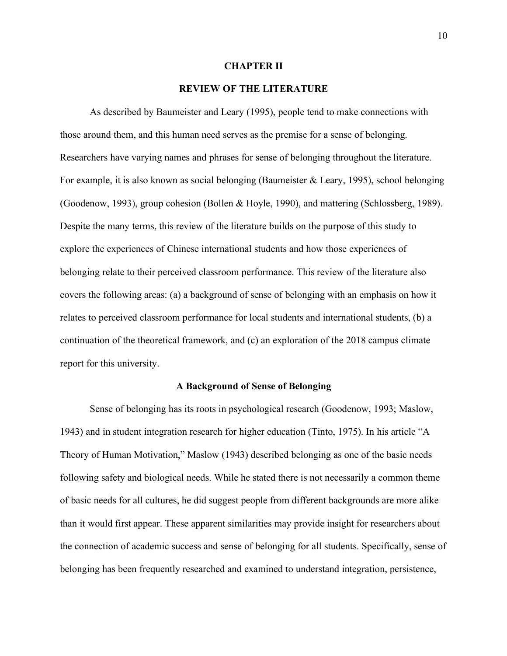#### **CHAPTER II**

# **REVIEW OF THE LITERATURE**

As described by Baumeister and Leary (1995), people tend to make connections with those around them, and this human need serves as the premise for a sense of belonging. Researchers have varying names and phrases for sense of belonging throughout the literature. For example, it is also known as social belonging (Baumeister & Leary, 1995), school belonging (Goodenow, 1993), group cohesion (Bollen & Hoyle, 1990), and mattering (Schlossberg, 1989). Despite the many terms, this review of the literature builds on the purpose of this study to explore the experiences of Chinese international students and how those experiences of belonging relate to their perceived classroom performance. This review of the literature also covers the following areas: (a) a background of sense of belonging with an emphasis on how it relates to perceived classroom performance for local students and international students, (b) a continuation of the theoretical framework, and (c) an exploration of the 2018 campus climate report for this university.

#### **A Background of Sense of Belonging**

Sense of belonging has its roots in psychological research (Goodenow, 1993; Maslow, 1943) and in student integration research for higher education (Tinto, 1975). In his article "A Theory of Human Motivation," Maslow (1943) described belonging as one of the basic needs following safety and biological needs. While he stated there is not necessarily a common theme of basic needs for all cultures, he did suggest people from different backgrounds are more alike than it would first appear. These apparent similarities may provide insight for researchers about the connection of academic success and sense of belonging for all students. Specifically, sense of belonging has been frequently researched and examined to understand integration, persistence,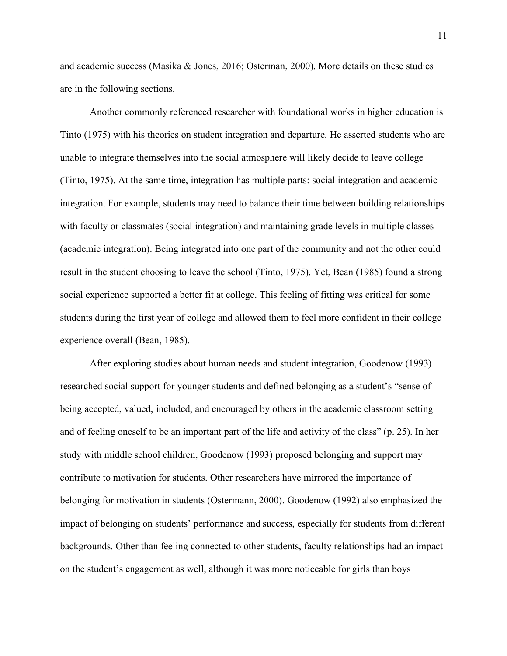and academic success (Masika & Jones, 2016; Osterman, 2000). More details on these studies are in the following sections.

Another commonly referenced researcher with foundational works in higher education is Tinto (1975) with his theories on student integration and departure. He asserted students who are unable to integrate themselves into the social atmosphere will likely decide to leave college (Tinto, 1975). At the same time, integration has multiple parts: social integration and academic integration. For example, students may need to balance their time between building relationships with faculty or classmates (social integration) and maintaining grade levels in multiple classes (academic integration). Being integrated into one part of the community and not the other could result in the student choosing to leave the school (Tinto, 1975). Yet, Bean (1985) found a strong social experience supported a better fit at college. This feeling of fitting was critical for some students during the first year of college and allowed them to feel more confident in their college experience overall (Bean, 1985).

After exploring studies about human needs and student integration, Goodenow (1993) researched social support for younger students and defined belonging as a student's "sense of being accepted, valued, included, and encouraged by others in the academic classroom setting and of feeling oneself to be an important part of the life and activity of the class" (p. 25). In her study with middle school children, Goodenow (1993) proposed belonging and support may contribute to motivation for students. Other researchers have mirrored the importance of belonging for motivation in students (Ostermann, 2000). Goodenow (1992) also emphasized the impact of belonging on students' performance and success, especially for students from different backgrounds. Other than feeling connected to other students, faculty relationships had an impact on the student's engagement as well, although it was more noticeable for girls than boys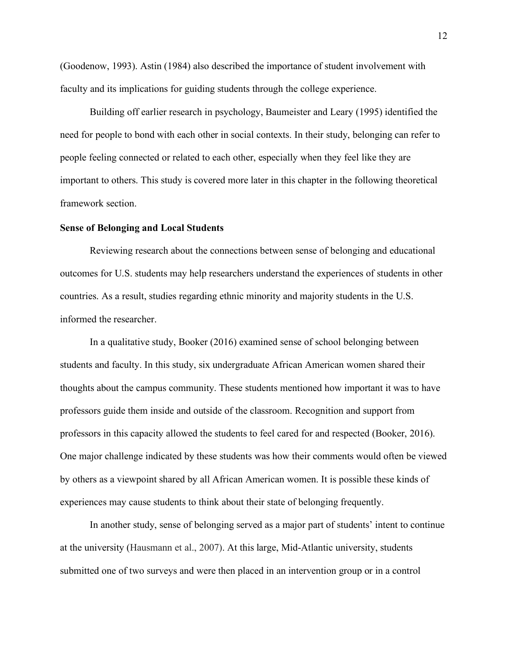(Goodenow, 1993). Astin (1984) also described the importance of student involvement with faculty and its implications for guiding students through the college experience.

Building off earlier research in psychology, Baumeister and Leary (1995) identified the need for people to bond with each other in social contexts. In their study, belonging can refer to people feeling connected or related to each other, especially when they feel like they are important to others. This study is covered more later in this chapter in the following theoretical framework section.

# **Sense of Belonging and Local Students**

Reviewing research about the connections between sense of belonging and educational outcomes for U.S. students may help researchers understand the experiences of students in other countries. As a result, studies regarding ethnic minority and majority students in the U.S. informed the researcher.

In a qualitative study, Booker (2016) examined sense of school belonging between students and faculty. In this study, six undergraduate African American women shared their thoughts about the campus community. These students mentioned how important it was to have professors guide them inside and outside of the classroom. Recognition and support from professors in this capacity allowed the students to feel cared for and respected (Booker, 2016). One major challenge indicated by these students was how their comments would often be viewed by others as a viewpoint shared by all African American women. It is possible these kinds of experiences may cause students to think about their state of belonging frequently.

In another study, sense of belonging served as a major part of students' intent to continue at the university (Hausmann et al., 2007). At this large, Mid-Atlantic university, students submitted one of two surveys and were then placed in an intervention group or in a control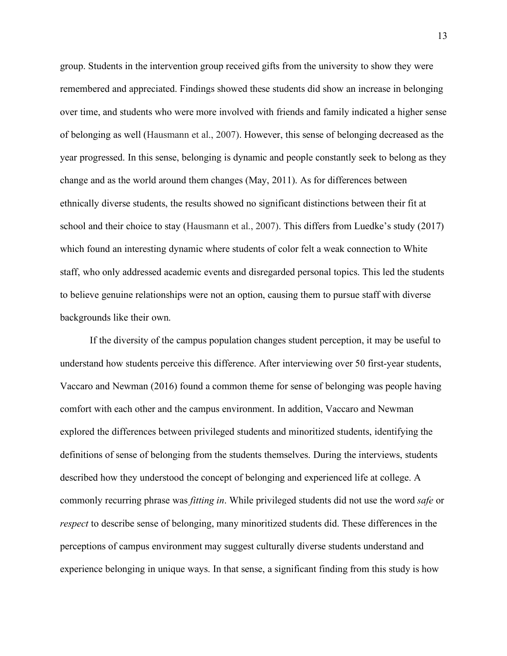group. Students in the intervention group received gifts from the university to show they were remembered and appreciated. Findings showed these students did show an increase in belonging over time, and students who were more involved with friends and family indicated a higher sense of belonging as well (Hausmann et al., 2007). However, this sense of belonging decreased as the year progressed. In this sense, belonging is dynamic and people constantly seek to belong as they change and as the world around them changes (May, 2011). As for differences between ethnically diverse students, the results showed no significant distinctions between their fit at school and their choice to stay (Hausmann et al., 2007). This differs from Luedke's study (2017) which found an interesting dynamic where students of color felt a weak connection to White staff, who only addressed academic events and disregarded personal topics. This led the students to believe genuine relationships were not an option, causing them to pursue staff with diverse backgrounds like their own.

If the diversity of the campus population changes student perception, it may be useful to understand how students perceive this difference. After interviewing over 50 first-year students, Vaccaro and Newman (2016) found a common theme for sense of belonging was people having comfort with each other and the campus environment. In addition, Vaccaro and Newman explored the differences between privileged students and minoritized students, identifying the definitions of sense of belonging from the students themselves. During the interviews, students described how they understood the concept of belonging and experienced life at college. A commonly recurring phrase was *fitting in*. While privileged students did not use the word *safe* or *respect* to describe sense of belonging, many minoritized students did. These differences in the perceptions of campus environment may suggest culturally diverse students understand and experience belonging in unique ways. In that sense, a significant finding from this study is how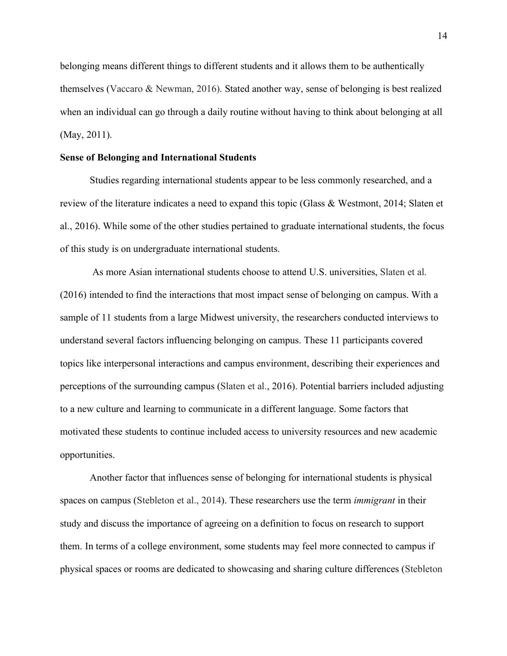belonging means different things to different students and it allows them to be authentically themselves (Vaccaro & Newman, 2016). Stated another way, sense of belonging is best realized when an individual can go through a daily routine without having to think about belonging at all (May, 2011).

# **Sense of Belonging and International Students**

Studies regarding international students appear to be less commonly researched, and a review of the literature indicates a need to expand this topic (Glass & Westmont, 2014; Slaten et al., 2016). While some of the other studies pertained to graduate international students, the focus of this study is on undergraduate international students.

As more Asian international students choose to attend U.S. universities, Slaten et al. (2016) intended to find the interactions that most impact sense of belonging on campus. With a sample of 11 students from a large Midwest university, the researchers conducted interviews to understand several factors influencing belonging on campus. These 11 participants covered topics like interpersonal interactions and campus environment, describing their experiences and perceptions of the surrounding campus (Slaten et al., 2016). Potential barriers included adjusting to a new culture and learning to communicate in a different language. Some factors that motivated these students to continue included access to university resources and new academic opportunities.

Another factor that influences sense of belonging for international students is physical spaces on campus (Stebleton et al., 2014). These researchers use the term *immigrant* in their study and discuss the importance of agreeing on a definition to focus on research to support them. In terms of a college environment, some students may feel more connected to campus if physical spaces or rooms are dedicated to showcasing and sharing culture differences (Stebleton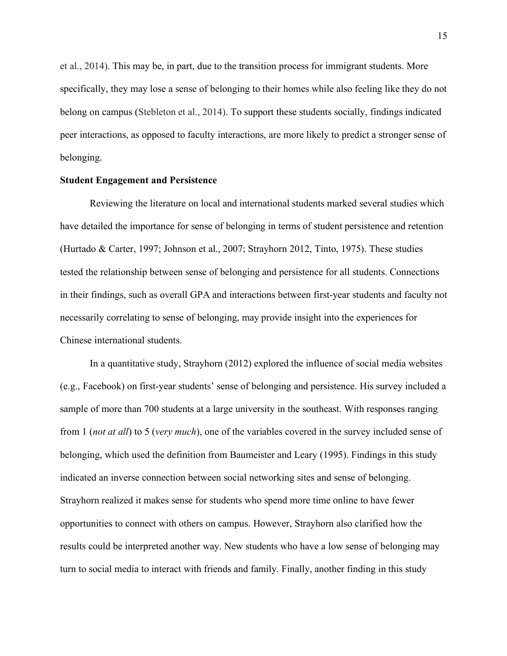et al., 2014). This may be, in part, due to the transition process for immigrant students. More specifically, they may lose a sense of belonging to their homes while also feeling like they do not belong on campus (Stebleton et al., 2014). To support these students socially, findings indicated peer interactions, as opposed to faculty interactions, are more likely to predict a stronger sense of belonging.

# **Student Engagement and Persistence**

Reviewing the literature on local and international students marked several studies which have detailed the importance for sense of belonging in terms of student persistence and retention (Hurtado & Carter, 1997; Johnson et al., 2007; Strayhorn 2012, Tinto, 1975). These studies tested the relationship between sense of belonging and persistence for all students. Connections in their findings, such as overall GPA and interactions between first-year students and faculty not necessarily correlating to sense of belonging, may provide insight into the experiences for Chinese international students.

In a quantitative study, Strayhorn (2012) explored the influence of social media websites (e.g., Facebook) on first-year students' sense of belonging and persistence. His survey included a sample of more than 700 students at a large university in the southeast. With responses ranging from 1 (*not at all*) to 5 (*very much*), one of the variables covered in the survey included sense of belonging, which used the definition from Baumeister and Leary (1995). Findings in this study indicated an inverse connection between social networking sites and sense of belonging. Strayhorn realized it makes sense for students who spend more time online to have fewer opportunities to connect with others on campus. However, Strayhorn also clarified how the results could be interpreted another way. New students who have a low sense of belonging may turn to social media to interact with friends and family. Finally, another finding in this study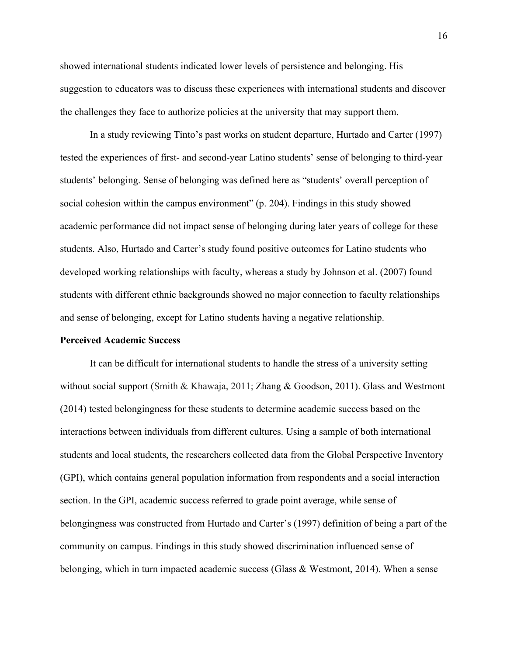showed international students indicated lower levels of persistence and belonging. His suggestion to educators was to discuss these experiences with international students and discover the challenges they face to authorize policies at the university that may support them.

In a study reviewing Tinto's past works on student departure, Hurtado and Carter (1997) tested the experiences of first- and second-year Latino students' sense of belonging to third-year students' belonging. Sense of belonging was defined here as "students' overall perception of social cohesion within the campus environment" (p. 204). Findings in this study showed academic performance did not impact sense of belonging during later years of college for these students. Also, Hurtado and Carter's study found positive outcomes for Latino students who developed working relationships with faculty, whereas a study by Johnson et al. (2007) found students with different ethnic backgrounds showed no major connection to faculty relationships and sense of belonging, except for Latino students having a negative relationship.

#### **Perceived Academic Success**

It can be difficult for international students to handle the stress of a university setting without social support (Smith & Khawaja, 2011; Zhang & Goodson, 2011). Glass and Westmont (2014) tested belongingness for these students to determine academic success based on the interactions between individuals from different cultures. Using a sample of both international students and local students, the researchers collected data from the Global Perspective Inventory (GPI), which contains general population information from respondents and a social interaction section. In the GPI, academic success referred to grade point average, while sense of belongingness was constructed from Hurtado and Carter's (1997) definition of being a part of the community on campus. Findings in this study showed discrimination influenced sense of belonging, which in turn impacted academic success (Glass & Westmont, 2014). When a sense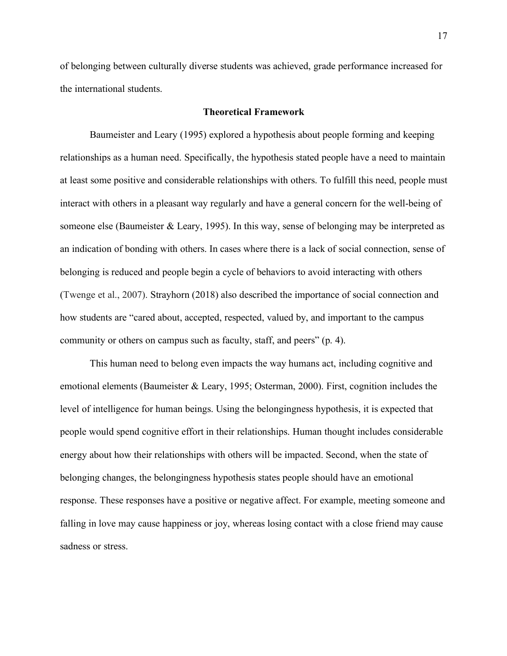of belonging between culturally diverse students was achieved, grade performance increased for the international students.

### **Theoretical Framework**

Baumeister and Leary (1995) explored a hypothesis about people forming and keeping relationships as a human need. Specifically, the hypothesis stated people have a need to maintain at least some positive and considerable relationships with others. To fulfill this need, people must interact with others in a pleasant way regularly and have a general concern for the well-being of someone else (Baumeister & Leary, 1995). In this way, sense of belonging may be interpreted as an indication of bonding with others. In cases where there is a lack of social connection, sense of belonging is reduced and people begin a cycle of behaviors to avoid interacting with others (Twenge et al., 2007). Strayhorn (2018) also described the importance of social connection and how students are "cared about, accepted, respected, valued by, and important to the campus community or others on campus such as faculty, staff, and peers" (p. 4).

This human need to belong even impacts the way humans act, including cognitive and emotional elements (Baumeister & Leary, 1995; Osterman, 2000). First, cognition includes the level of intelligence for human beings. Using the belongingness hypothesis, it is expected that people would spend cognitive effort in their relationships. Human thought includes considerable energy about how their relationships with others will be impacted. Second, when the state of belonging changes, the belongingness hypothesis states people should have an emotional response. These responses have a positive or negative affect. For example, meeting someone and falling in love may cause happiness or joy, whereas losing contact with a close friend may cause sadness or stress.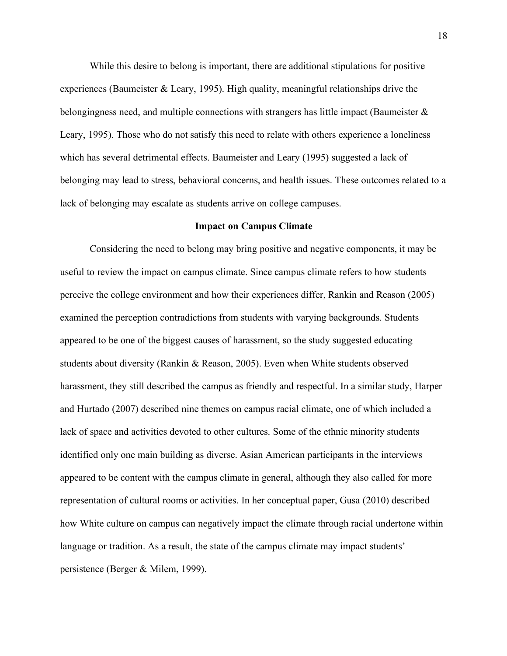While this desire to belong is important, there are additional stipulations for positive experiences (Baumeister & Leary, 1995). High quality, meaningful relationships drive the belongingness need, and multiple connections with strangers has little impact (Baumeister & Leary, 1995). Those who do not satisfy this need to relate with others experience a loneliness which has several detrimental effects. Baumeister and Leary (1995) suggested a lack of belonging may lead to stress, behavioral concerns, and health issues. These outcomes related to a lack of belonging may escalate as students arrive on college campuses.

#### **Impact on Campus Climate**

Considering the need to belong may bring positive and negative components, it may be useful to review the impact on campus climate. Since campus climate refers to how students perceive the college environment and how their experiences differ, Rankin and Reason (2005) examined the perception contradictions from students with varying backgrounds. Students appeared to be one of the biggest causes of harassment, so the study suggested educating students about diversity (Rankin & Reason, 2005). Even when White students observed harassment, they still described the campus as friendly and respectful. In a similar study, Harper and Hurtado (2007) described nine themes on campus racial climate, one of which included a lack of space and activities devoted to other cultures. Some of the ethnic minority students identified only one main building as diverse. Asian American participants in the interviews appeared to be content with the campus climate in general, although they also called for more representation of cultural rooms or activities. In her conceptual paper, Gusa (2010) described how White culture on campus can negatively impact the climate through racial undertone within language or tradition. As a result, the state of the campus climate may impact students' persistence (Berger & Milem, 1999).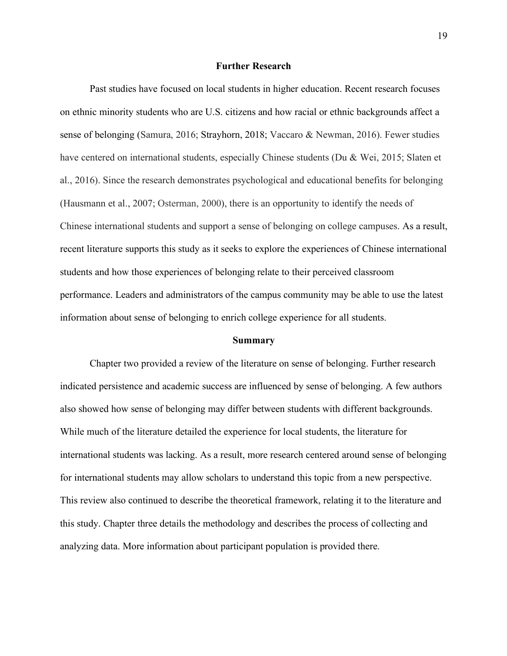#### **Further Research**

Past studies have focused on local students in higher education. Recent research focuses on ethnic minority students who are U.S. citizens and how racial or ethnic backgrounds affect a sense of belonging (Samura, 2016; Strayhorn, 2018; Vaccaro & Newman, 2016). Fewer studies have centered on international students, especially Chinese students (Du & Wei, 2015; Slaten et al., 2016). Since the research demonstrates psychological and educational benefits for belonging (Hausmann et al., 2007; Osterman, 2000), there is an opportunity to identify the needs of Chinese international students and support a sense of belonging on college campuses. As a result, recent literature supports this study as it seeks to explore the experiences of Chinese international students and how those experiences of belonging relate to their perceived classroom performance. Leaders and administrators of the campus community may be able to use the latest information about sense of belonging to enrich college experience for all students.

#### **Summary**

Chapter two provided a review of the literature on sense of belonging. Further research indicated persistence and academic success are influenced by sense of belonging. A few authors also showed how sense of belonging may differ between students with different backgrounds. While much of the literature detailed the experience for local students, the literature for international students was lacking. As a result, more research centered around sense of belonging for international students may allow scholars to understand this topic from a new perspective. This review also continued to describe the theoretical framework, relating it to the literature and this study. Chapter three details the methodology and describes the process of collecting and analyzing data. More information about participant population is provided there.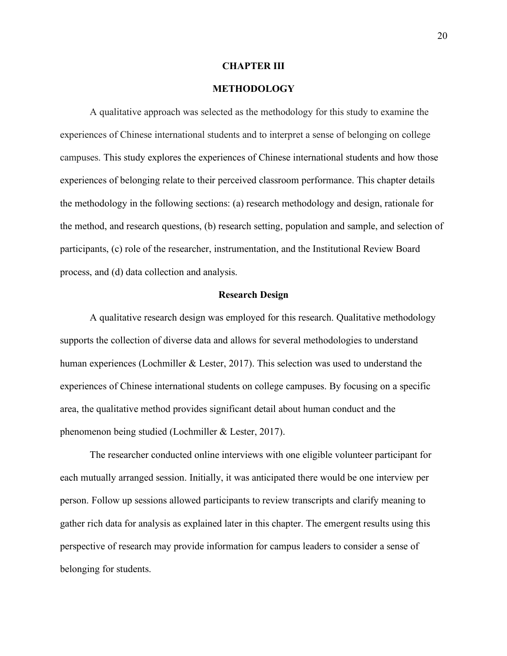#### **CHAPTER III**

# **METHODOLOGY**

A qualitative approach was selected as the methodology for this study to examine the experiences of Chinese international students and to interpret a sense of belonging on college campuses. This study explores the experiences of Chinese international students and how those experiences of belonging relate to their perceived classroom performance. This chapter details the methodology in the following sections: (a) research methodology and design, rationale for the method, and research questions, (b) research setting, population and sample, and selection of participants, (c) role of the researcher, instrumentation, and the Institutional Review Board process, and (d) data collection and analysis.

#### **Research Design**

A qualitative research design was employed for this research. Qualitative methodology supports the collection of diverse data and allows for several methodologies to understand human experiences (Lochmiller & Lester, 2017). This selection was used to understand the experiences of Chinese international students on college campuses. By focusing on a specific area, the qualitative method provides significant detail about human conduct and the phenomenon being studied (Lochmiller & Lester, 2017).

The researcher conducted online interviews with one eligible volunteer participant for each mutually arranged session. Initially, it was anticipated there would be one interview per person. Follow up sessions allowed participants to review transcripts and clarify meaning to gather rich data for analysis as explained later in this chapter. The emergent results using this perspective of research may provide information for campus leaders to consider a sense of belonging for students.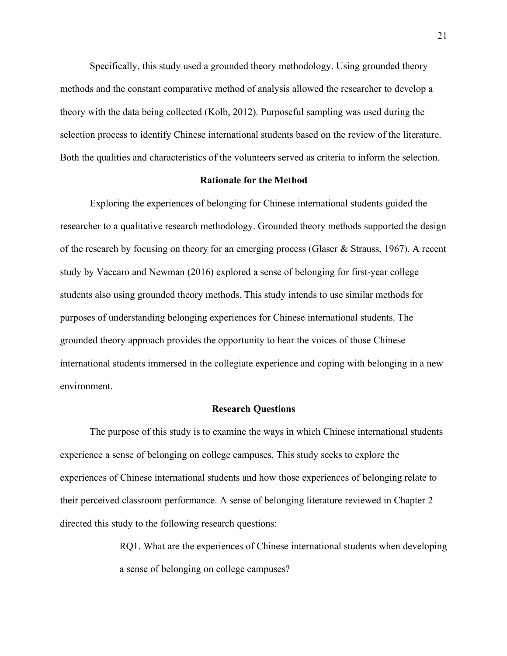Specifically, this study used a grounded theory methodology. Using grounded theory methods and the constant comparative method of analysis allowed the researcher to develop a theory with the data being collected (Kolb, 2012). Purposeful sampling was used during the selection process to identify Chinese international students based on the review of the literature. Both the qualities and characteristics of the volunteers served as criteria to inform the selection.

# **Rationale for the Method**

Exploring the experiences of belonging for Chinese international students guided the researcher to a qualitative research methodology. Grounded theory methods supported the design of the research by focusing on theory for an emerging process (Glaser & Strauss, 1967). A recent study by Vaccaro and Newman (2016) explored a sense of belonging for first-year college students also using grounded theory methods. This study intends to use similar methods for purposes of understanding belonging experiences for Chinese international students. The grounded theory approach provides the opportunity to hear the voices of those Chinese international students immersed in the collegiate experience and coping with belonging in a new environment.

# **Research Questions**

The purpose of this study is to examine the ways in which Chinese international students experience a sense of belonging on college campuses. This study seeks to explore the experiences of Chinese international students and how those experiences of belonging relate to their perceived classroom performance. A sense of belonging literature reviewed in Chapter 2 directed this study to the following research questions:

> RQ1. What are the experiences of Chinese international students when developing a sense of belonging on college campuses?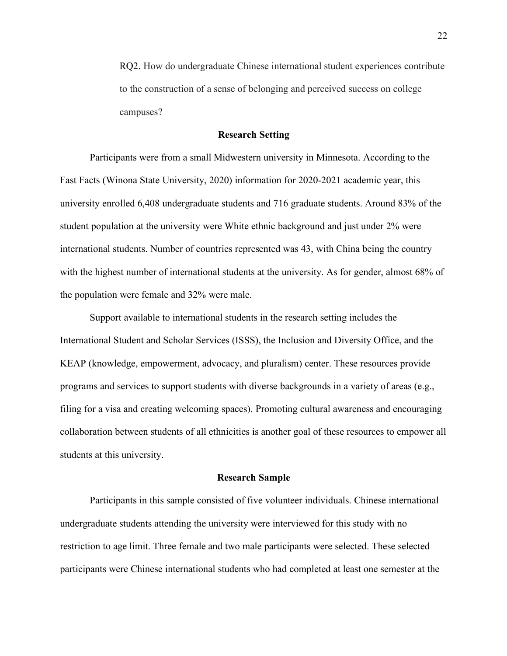RQ2. How do undergraduate Chinese international student experiences contribute to the construction of a sense of belonging and perceived success on college campuses?

#### **Research Setting**

Participants were from a small Midwestern university in Minnesota. According to the Fast Facts (Winona State University, 2020) information for 2020-2021 academic year, this university enrolled 6,408 undergraduate students and 716 graduate students. Around 83% of the student population at the university were White ethnic background and just under 2% were international students. Number of countries represented was 43, with China being the country with the highest number of international students at the university. As for gender, almost 68% of the population were female and 32% were male.

Support available to international students in the research setting includes the International Student and Scholar Services (ISSS), the Inclusion and Diversity Office, and the KEAP (knowledge, empowerment, advocacy, and pluralism) center. These resources provide programs and services to support students with diverse backgrounds in a variety of areas (e.g., filing for a visa and creating welcoming spaces). Promoting cultural awareness and encouraging collaboration between students of all ethnicities is another goal of these resources to empower all students at this university.

# **Research Sample**

Participants in this sample consisted of five volunteer individuals. Chinese international undergraduate students attending the university were interviewed for this study with no restriction to age limit. Three female and two male participants were selected. These selected participants were Chinese international students who had completed at least one semester at the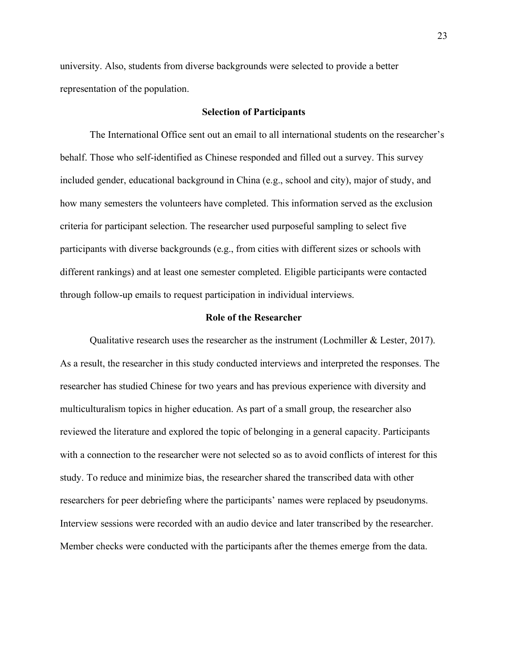university. Also, students from diverse backgrounds were selected to provide a better representation of the population.

## **Selection of Participants**

The International Office sent out an email to all international students on the researcher's behalf. Those who self-identified as Chinese responded and filled out a survey. This survey included gender, educational background in China (e.g., school and city), major of study, and how many semesters the volunteers have completed. This information served as the exclusion criteria for participant selection. The researcher used purposeful sampling to select five participants with diverse backgrounds (e.g., from cities with different sizes or schools with different rankings) and at least one semester completed. Eligible participants were contacted through follow-up emails to request participation in individual interviews.

## **Role of the Researcher**

Qualitative research uses the researcher as the instrument (Lochmiller & Lester, 2017). As a result, the researcher in this study conducted interviews and interpreted the responses. The researcher has studied Chinese for two years and has previous experience with diversity and multiculturalism topics in higher education. As part of a small group, the researcher also reviewed the literature and explored the topic of belonging in a general capacity. Participants with a connection to the researcher were not selected so as to avoid conflicts of interest for this study. To reduce and minimize bias, the researcher shared the transcribed data with other researchers for peer debriefing where the participants' names were replaced by pseudonyms. Interview sessions were recorded with an audio device and later transcribed by the researcher. Member checks were conducted with the participants after the themes emerge from the data.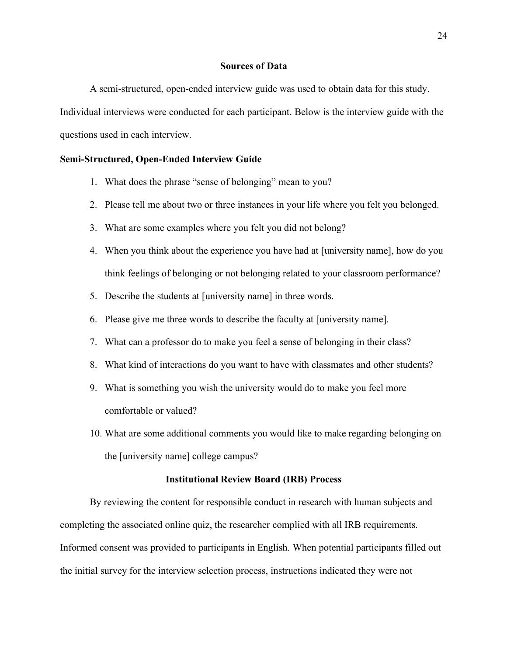# **Sources of Data**

A semi-structured, open-ended interview guide was used to obtain data for this study. Individual interviews were conducted for each participant. Below is the interview guide with the questions used in each interview.

# **Semi-Structured, Open-Ended Interview Guide**

- 1. What does the phrase "sense of belonging" mean to you?
- 2. Please tell me about two or three instances in your life where you felt you belonged.
- 3. What are some examples where you felt you did not belong?
- 4. When you think about the experience you have had at [university name], how do you think feelings of belonging or not belonging related to your classroom performance?
- 5. Describe the students at [university name] in three words.
- 6. Please give me three words to describe the faculty at [university name].
- 7. What can a professor do to make you feel a sense of belonging in their class?
- 8. What kind of interactions do you want to have with classmates and other students?
- 9. What is something you wish the university would do to make you feel more comfortable or valued?
- 10. What are some additional comments you would like to make regarding belonging on the [university name] college campus?

# **Institutional Review Board (IRB) Process**

By reviewing the content for responsible conduct in research with human subjects and completing the associated online quiz, the researcher complied with all IRB requirements. Informed consent was provided to participants in English. When potential participants filled out the initial survey for the interview selection process, instructions indicated they were not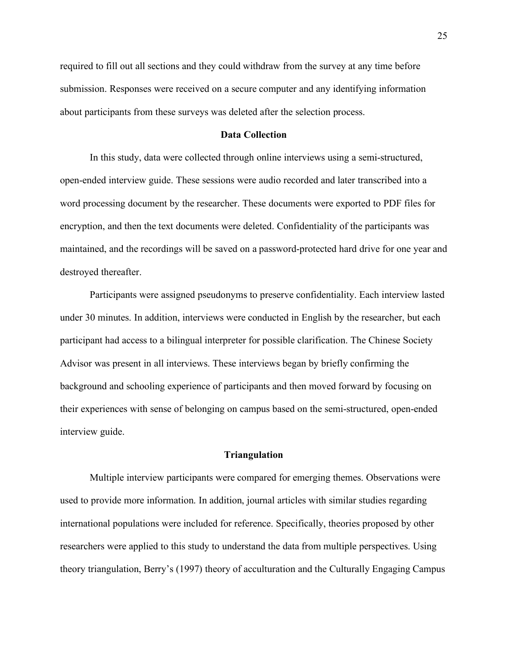required to fill out all sections and they could withdraw from the survey at any time before submission. Responses were received on a secure computer and any identifying information about participants from these surveys was deleted after the selection process.

# **Data Collection**

In this study, data were collected through online interviews using a semi-structured, open-ended interview guide. These sessions were audio recorded and later transcribed into a word processing document by the researcher. These documents were exported to PDF files for encryption, and then the text documents were deleted. Confidentiality of the participants was maintained, and the recordings will be saved on a password-protected hard drive for one year and destroyed thereafter.

Participants were assigned pseudonyms to preserve confidentiality. Each interview lasted under 30 minutes. In addition, interviews were conducted in English by the researcher, but each participant had access to a bilingual interpreter for possible clarification. The Chinese Society Advisor was present in all interviews. These interviews began by briefly confirming the background and schooling experience of participants and then moved forward by focusing on their experiences with sense of belonging on campus based on the semi-structured, open-ended interview guide.

## **Triangulation**

Multiple interview participants were compared for emerging themes. Observations were used to provide more information. In addition, journal articles with similar studies regarding international populations were included for reference. Specifically, theories proposed by other researchers were applied to this study to understand the data from multiple perspectives. Using theory triangulation, Berry's (1997) theory of acculturation and the Culturally Engaging Campus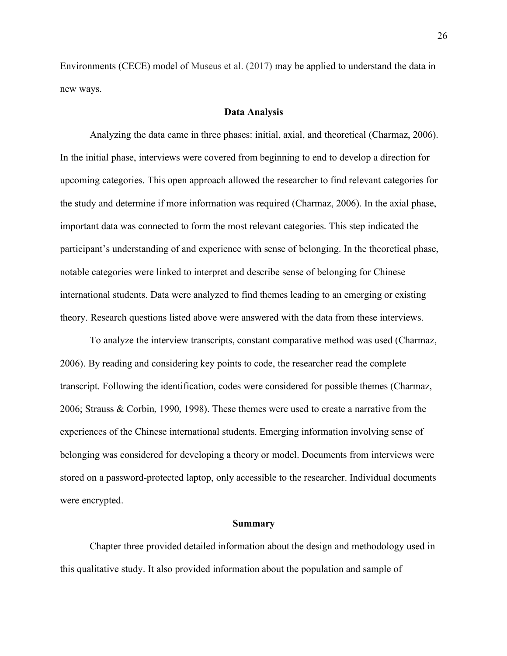Environments (CECE) model of Museus et al. (2017) may be applied to understand the data in new ways.

#### **Data Analysis**

Analyzing the data came in three phases: initial, axial, and theoretical (Charmaz, 2006). In the initial phase, interviews were covered from beginning to end to develop a direction for upcoming categories. This open approach allowed the researcher to find relevant categories for the study and determine if more information was required (Charmaz, 2006). In the axial phase, important data was connected to form the most relevant categories. This step indicated the participant's understanding of and experience with sense of belonging. In the theoretical phase, notable categories were linked to interpret and describe sense of belonging for Chinese international students. Data were analyzed to find themes leading to an emerging or existing theory. Research questions listed above were answered with the data from these interviews.

To analyze the interview transcripts, constant comparative method was used (Charmaz, 2006). By reading and considering key points to code, the researcher read the complete transcript. Following the identification, codes were considered for possible themes (Charmaz, 2006; Strauss & Corbin, 1990, 1998). These themes were used to create a narrative from the experiences of the Chinese international students. Emerging information involving sense of belonging was considered for developing a theory or model. Documents from interviews were stored on a password-protected laptop, only accessible to the researcher. Individual documents were encrypted.

#### **Summary**

Chapter three provided detailed information about the design and methodology used in this qualitative study. It also provided information about the population and sample of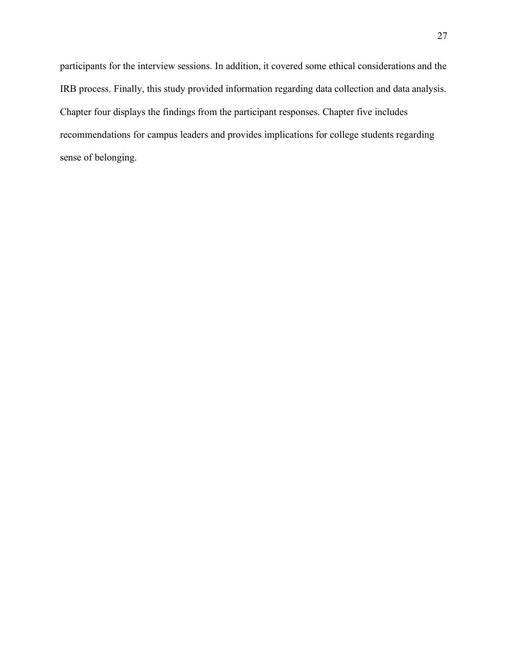participants for the interview sessions. In addition, it covered some ethical considerations and the IRB process. Finally, this study provided information regarding data collection and data analysis. Chapter four displays the findings from the participant responses. Chapter five includes recommendations for campus leaders and provides implications for college students regarding sense of belonging.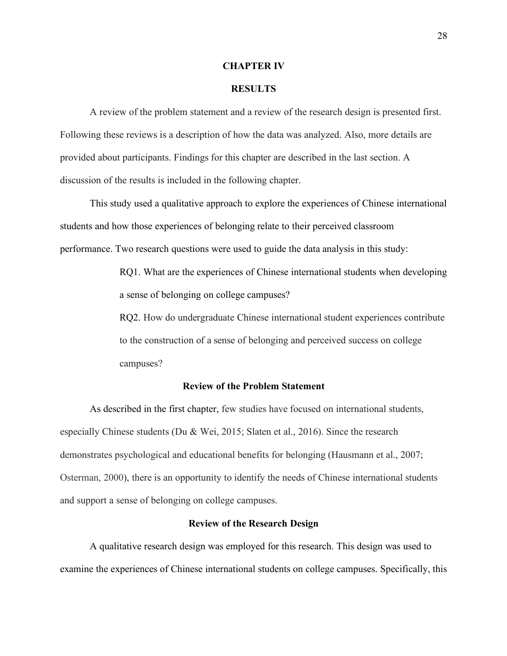#### **CHAPTER IV**

### **RESULTS**

A review of the problem statement and a review of the research design is presented first. Following these reviews is a description of how the data was analyzed. Also, more details are provided about participants. Findings for this chapter are described in the last section. A discussion of the results is included in the following chapter.

This study used a qualitative approach to explore the experiences of Chinese international students and how those experiences of belonging relate to their perceived classroom performance. Two research questions were used to guide the data analysis in this study:

> RQ1. What are the experiences of Chinese international students when developing a sense of belonging on college campuses?

> RQ2. How do undergraduate Chinese international student experiences contribute to the construction of a sense of belonging and perceived success on college campuses?

# **Review of the Problem Statement**

As described in the first chapter, few studies have focused on international students, especially Chinese students (Du & Wei, 2015; Slaten et al., 2016). Since the research demonstrates psychological and educational benefits for belonging (Hausmann et al., 2007; Osterman, 2000), there is an opportunity to identify the needs of Chinese international students and support a sense of belonging on college campuses.

# **Review of the Research Design**

A qualitative research design was employed for this research. This design was used to examine the experiences of Chinese international students on college campuses. Specifically, this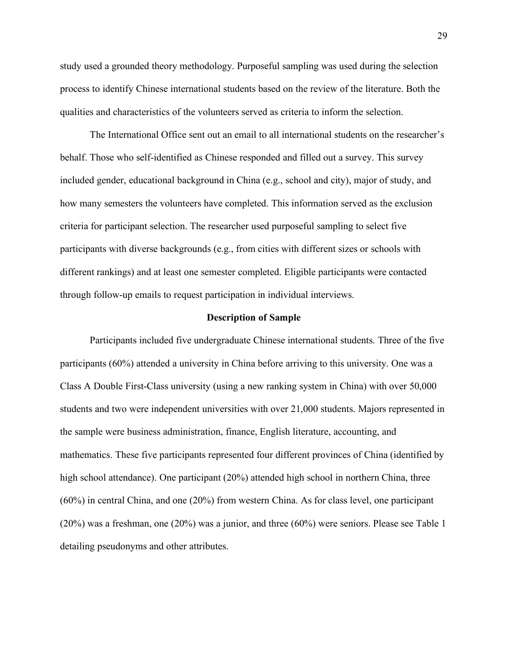study used a grounded theory methodology. Purposeful sampling was used during the selection process to identify Chinese international students based on the review of the literature. Both the qualities and characteristics of the volunteers served as criteria to inform the selection.

The International Office sent out an email to all international students on the researcher's behalf. Those who self-identified as Chinese responded and filled out a survey. This survey included gender, educational background in China (e.g., school and city), major of study, and how many semesters the volunteers have completed. This information served as the exclusion criteria for participant selection. The researcher used purposeful sampling to select five participants with diverse backgrounds (e.g., from cities with different sizes or schools with different rankings) and at least one semester completed. Eligible participants were contacted through follow-up emails to request participation in individual interviews.

#### **Description of Sample**

Participants included five undergraduate Chinese international students. Three of the five participants (60%) attended a university in China before arriving to this university. One was a Class A Double First-Class university (using a new ranking system in China) with over 50,000 students and two were independent universities with over 21,000 students. Majors represented in the sample were business administration, finance, English literature, accounting, and mathematics. These five participants represented four different provinces of China (identified by high school attendance). One participant (20%) attended high school in northern China, three (60%) in central China, and one (20%) from western China. As for class level, one participant (20%) was a freshman, one (20%) was a junior, and three (60%) were seniors. Please see Table 1 detailing pseudonyms and other attributes.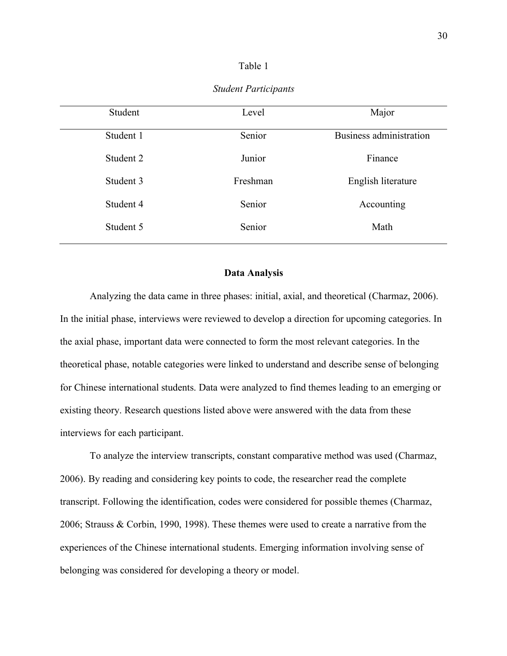#### Table 1

| Student   | Level    | Major                   |
|-----------|----------|-------------------------|
| Student 1 | Senior   | Business administration |
| Student 2 | Junior   | Finance                 |
| Student 3 | Freshman | English literature      |
| Student 4 | Senior   | Accounting              |
| Student 5 | Senior   | Math                    |
|           |          |                         |

#### *Student Participants*

# **Data Analysis**

Analyzing the data came in three phases: initial, axial, and theoretical (Charmaz, 2006). In the initial phase, interviews were reviewed to develop a direction for upcoming categories. In the axial phase, important data were connected to form the most relevant categories. In the theoretical phase, notable categories were linked to understand and describe sense of belonging for Chinese international students. Data were analyzed to find themes leading to an emerging or existing theory. Research questions listed above were answered with the data from these interviews for each participant.

To analyze the interview transcripts, constant comparative method was used (Charmaz, 2006). By reading and considering key points to code, the researcher read the complete transcript. Following the identification, codes were considered for possible themes (Charmaz, 2006; Strauss & Corbin, 1990, 1998). These themes were used to create a narrative from the experiences of the Chinese international students. Emerging information involving sense of belonging was considered for developing a theory or model.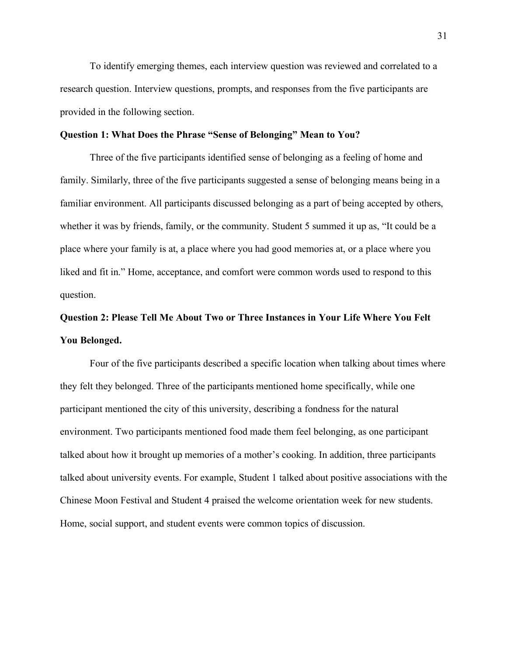To identify emerging themes, each interview question was reviewed and correlated to a research question. Interview questions, prompts, and responses from the five participants are provided in the following section.

# **Question 1: What Does the Phrase "Sense of Belonging" Mean to You?**

Three of the five participants identified sense of belonging as a feeling of home and family. Similarly, three of the five participants suggested a sense of belonging means being in a familiar environment. All participants discussed belonging as a part of being accepted by others, whether it was by friends, family, or the community. Student 5 summed it up as, "It could be a place where your family is at, a place where you had good memories at, or a place where you liked and fit in." Home, acceptance, and comfort were common words used to respond to this question.

# **Question 2: Please Tell Me About Two or Three Instances in Your Life Where You Felt You Belonged.**

Four of the five participants described a specific location when talking about times where they felt they belonged. Three of the participants mentioned home specifically, while one participant mentioned the city of this university, describing a fondness for the natural environment. Two participants mentioned food made them feel belonging, as one participant talked about how it brought up memories of a mother's cooking. In addition, three participants talked about university events. For example, Student 1 talked about positive associations with the Chinese Moon Festival and Student 4 praised the welcome orientation week for new students. Home, social support, and student events were common topics of discussion.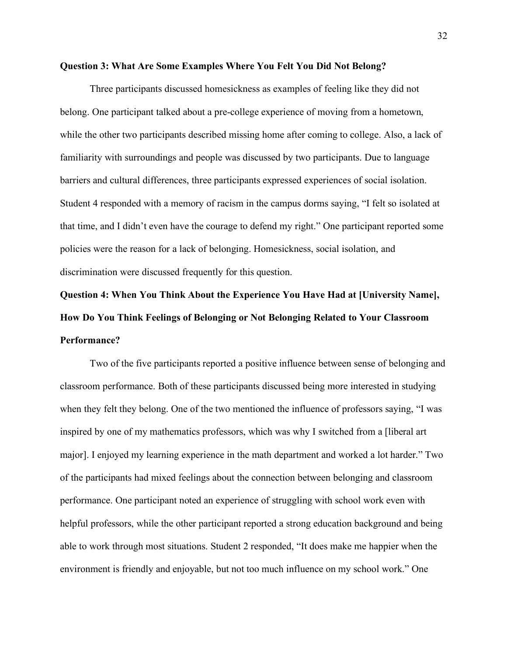#### **Question 3: What Are Some Examples Where You Felt You Did Not Belong?**

Three participants discussed homesickness as examples of feeling like they did not belong. One participant talked about a pre-college experience of moving from a hometown, while the other two participants described missing home after coming to college. Also, a lack of familiarity with surroundings and people was discussed by two participants. Due to language barriers and cultural differences, three participants expressed experiences of social isolation. Student 4 responded with a memory of racism in the campus dorms saying, "I felt so isolated at that time, and I didn't even have the courage to defend my right." One participant reported some policies were the reason for a lack of belonging. Homesickness, social isolation, and discrimination were discussed frequently for this question.

# **Question 4: When You Think About the Experience You Have Had at [University Name], How Do You Think Feelings of Belonging or Not Belonging Related to Your Classroom Performance?**

Two of the five participants reported a positive influence between sense of belonging and classroom performance. Both of these participants discussed being more interested in studying when they felt they belong. One of the two mentioned the influence of professors saying, "I was inspired by one of my mathematics professors, which was why I switched from a [liberal art major]. I enjoyed my learning experience in the math department and worked a lot harder." Two of the participants had mixed feelings about the connection between belonging and classroom performance. One participant noted an experience of struggling with school work even with helpful professors, while the other participant reported a strong education background and being able to work through most situations. Student 2 responded, "It does make me happier when the environment is friendly and enjoyable, but not too much influence on my school work." One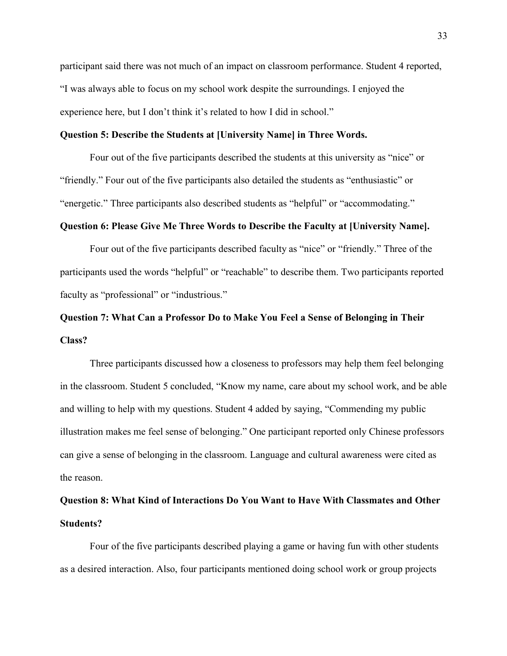participant said there was not much of an impact on classroom performance. Student 4 reported, "I was always able to focus on my school work despite the surroundings. I enjoyed the experience here, but I don't think it's related to how I did in school."

# **Question 5: Describe the Students at [University Name] in Three Words.**

Four out of the five participants described the students at this university as "nice" or "friendly." Four out of the five participants also detailed the students as "enthusiastic" or "energetic." Three participants also described students as "helpful" or "accommodating."

# **Question 6: Please Give Me Three Words to Describe the Faculty at [University Name].**

Four out of the five participants described faculty as "nice" or "friendly." Three of the participants used the words "helpful" or "reachable" to describe them. Two participants reported faculty as "professional" or "industrious."

# **Question 7: What Can a Professor Do to Make You Feel a Sense of Belonging in Their Class?**

Three participants discussed how a closeness to professors may help them feel belonging in the classroom. Student 5 concluded, "Know my name, care about my school work, and be able and willing to help with my questions. Student 4 added by saying, "Commending my public illustration makes me feel sense of belonging." One participant reported only Chinese professors can give a sense of belonging in the classroom. Language and cultural awareness were cited as the reason.

# **Question 8: What Kind of Interactions Do You Want to Have With Classmates and Other Students?**

Four of the five participants described playing a game or having fun with other students as a desired interaction. Also, four participants mentioned doing school work or group projects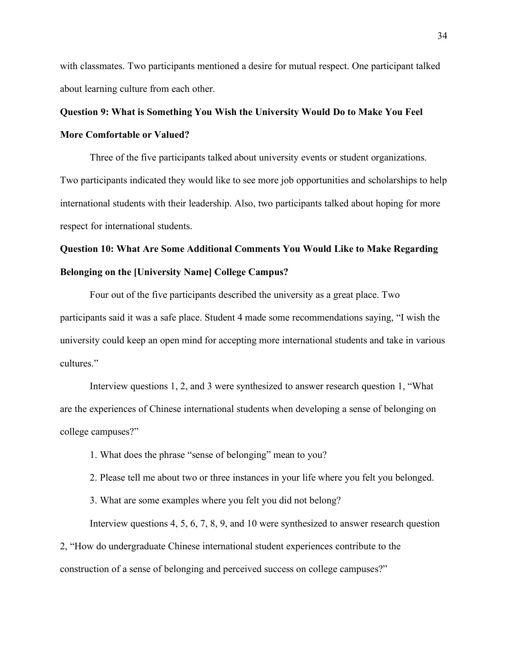with classmates. Two participants mentioned a desire for mutual respect. One participant talked about learning culture from each other.

# **Question 9: What is Something You Wish the University Would Do to Make You Feel More Comfortable or Valued?**

Three of the five participants talked about university events or student organizations. Two participants indicated they would like to see more job opportunities and scholarships to help international students with their leadership. Also, two participants talked about hoping for more respect for international students.

# **Question 10: What Are Some Additional Comments You Would Like to Make Regarding Belonging on the [University Name] College Campus?**

Four out of the five participants described the university as a great place. Two participants said it was a safe place. Student 4 made some recommendations saying, "I wish the university could keep an open mind for accepting more international students and take in various cultures."

Interview questions 1, 2, and 3 were synthesized to answer research question 1, "What are the experiences of Chinese international students when developing a sense of belonging on college campuses?"

1. What does the phrase "sense of belonging" mean to you?

2. Please tell me about two or three instances in your life where you felt you belonged.

3. What are some examples where you felt you did not belong?

Interview questions 4, 5, 6, 7, 8, 9, and 10 were synthesized to answer research question 2, "How do undergraduate Chinese international student experiences contribute to the construction of a sense of belonging and perceived success on college campuses?"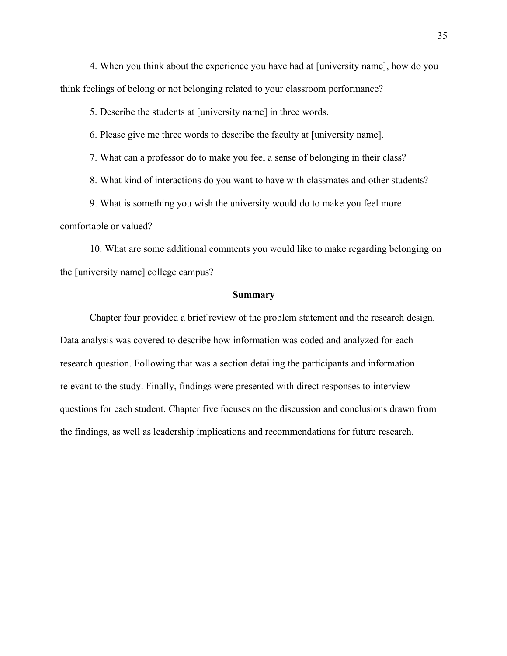4. When you think about the experience you have had at [university name], how do you think feelings of belong or not belonging related to your classroom performance?

5. Describe the students at [university name] in three words.

6. Please give me three words to describe the faculty at [university name].

7. What can a professor do to make you feel a sense of belonging in their class?

8. What kind of interactions do you want to have with classmates and other students?

9. What is something you wish the university would do to make you feel more comfortable or valued?

10. What are some additional comments you would like to make regarding belonging on the [university name] college campus?

#### **Summary**

Chapter four provided a brief review of the problem statement and the research design. Data analysis was covered to describe how information was coded and analyzed for each research question. Following that was a section detailing the participants and information relevant to the study. Finally, findings were presented with direct responses to interview questions for each student. Chapter five focuses on the discussion and conclusions drawn from the findings, as well as leadership implications and recommendations for future research.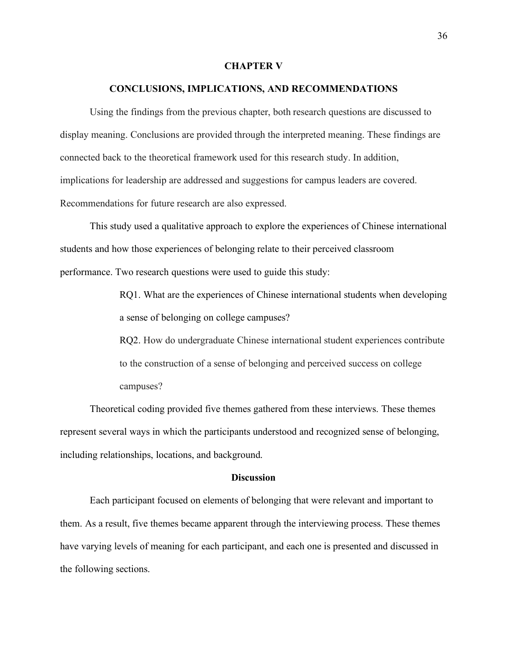#### **CHAPTER V**

#### **CONCLUSIONS, IMPLICATIONS, AND RECOMMENDATIONS**

Using the findings from the previous chapter, both research questions are discussed to display meaning. Conclusions are provided through the interpreted meaning. These findings are connected back to the theoretical framework used for this research study. In addition, implications for leadership are addressed and suggestions for campus leaders are covered. Recommendations for future research are also expressed.

This study used a qualitative approach to explore the experiences of Chinese international students and how those experiences of belonging relate to their perceived classroom performance. Two research questions were used to guide this study:

> RQ1. What are the experiences of Chinese international students when developing a sense of belonging on college campuses?

> RQ2. How do undergraduate Chinese international student experiences contribute to the construction of a sense of belonging and perceived success on college campuses?

Theoretical coding provided five themes gathered from these interviews. These themes represent several ways in which the participants understood and recognized sense of belonging, including relationships, locations, and background.

# **Discussion**

Each participant focused on elements of belonging that were relevant and important to them. As a result, five themes became apparent through the interviewing process. These themes have varying levels of meaning for each participant, and each one is presented and discussed in the following sections.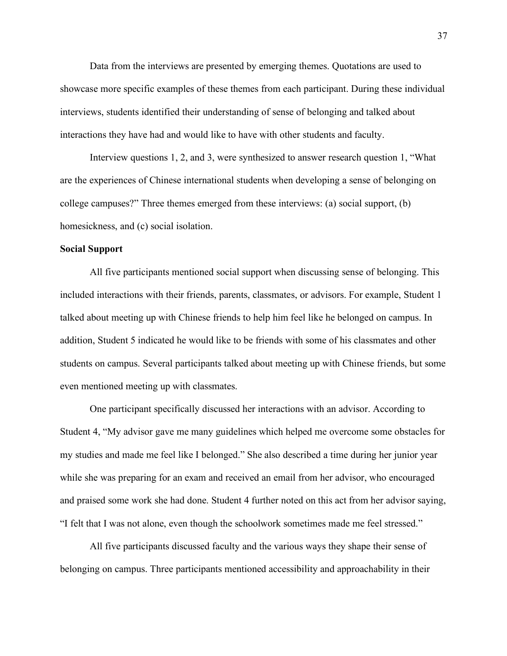Data from the interviews are presented by emerging themes. Quotations are used to showcase more specific examples of these themes from each participant. During these individual interviews, students identified their understanding of sense of belonging and talked about interactions they have had and would like to have with other students and faculty.

Interview questions 1, 2, and 3, were synthesized to answer research question 1, "What are the experiences of Chinese international students when developing a sense of belonging on college campuses?" Three themes emerged from these interviews: (a) social support, (b) homesickness, and (c) social isolation.

# **Social Support**

All five participants mentioned social support when discussing sense of belonging. This included interactions with their friends, parents, classmates, or advisors. For example, Student 1 talked about meeting up with Chinese friends to help him feel like he belonged on campus. In addition, Student 5 indicated he would like to be friends with some of his classmates and other students on campus. Several participants talked about meeting up with Chinese friends, but some even mentioned meeting up with classmates.

One participant specifically discussed her interactions with an advisor. According to Student 4, "My advisor gave me many guidelines which helped me overcome some obstacles for my studies and made me feel like I belonged." She also described a time during her junior year while she was preparing for an exam and received an email from her advisor, who encouraged and praised some work she had done. Student 4 further noted on this act from her advisor saying, "I felt that I was not alone, even though the schoolwork sometimes made me feel stressed."

All five participants discussed faculty and the various ways they shape their sense of belonging on campus. Three participants mentioned accessibility and approachability in their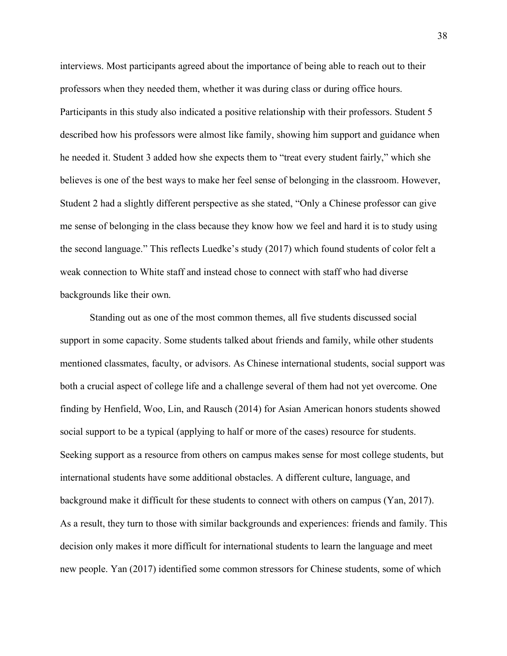interviews. Most participants agreed about the importance of being able to reach out to their professors when they needed them, whether it was during class or during office hours. Participants in this study also indicated a positive relationship with their professors. Student 5 described how his professors were almost like family, showing him support and guidance when he needed it. Student 3 added how she expects them to "treat every student fairly," which she believes is one of the best ways to make her feel sense of belonging in the classroom. However, Student 2 had a slightly different perspective as she stated, "Only a Chinese professor can give me sense of belonging in the class because they know how we feel and hard it is to study using the second language." This reflects Luedke's study (2017) which found students of color felt a weak connection to White staff and instead chose to connect with staff who had diverse backgrounds like their own.

Standing out as one of the most common themes, all five students discussed social support in some capacity. Some students talked about friends and family, while other students mentioned classmates, faculty, or advisors. As Chinese international students, social support was both a crucial aspect of college life and a challenge several of them had not yet overcome. One finding by Henfield, Woo, Lin, and Rausch (2014) for Asian American honors students showed social support to be a typical (applying to half or more of the cases) resource for students. Seeking support as a resource from others on campus makes sense for most college students, but international students have some additional obstacles. A different culture, language, and background make it difficult for these students to connect with others on campus (Yan, 2017). As a result, they turn to those with similar backgrounds and experiences: friends and family. This decision only makes it more difficult for international students to learn the language and meet new people. Yan (2017) identified some common stressors for Chinese students, some of which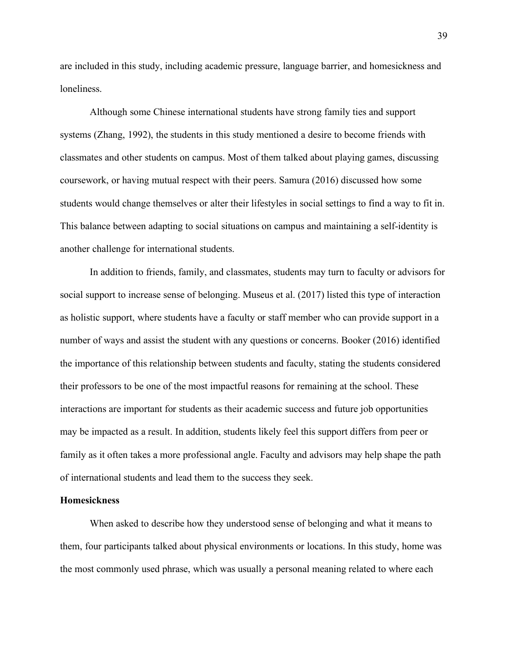are included in this study, including academic pressure, language barrier, and homesickness and loneliness.

Although some Chinese international students have strong family ties and support systems (Zhang, 1992), the students in this study mentioned a desire to become friends with classmates and other students on campus. Most of them talked about playing games, discussing coursework, or having mutual respect with their peers. Samura (2016) discussed how some students would change themselves or alter their lifestyles in social settings to find a way to fit in. This balance between adapting to social situations on campus and maintaining a self-identity is another challenge for international students.

In addition to friends, family, and classmates, students may turn to faculty or advisors for social support to increase sense of belonging. Museus et al. (2017) listed this type of interaction as holistic support, where students have a faculty or staff member who can provide support in a number of ways and assist the student with any questions or concerns. Booker (2016) identified the importance of this relationship between students and faculty, stating the students considered their professors to be one of the most impactful reasons for remaining at the school. These interactions are important for students as their academic success and future job opportunities may be impacted as a result. In addition, students likely feel this support differs from peer or family as it often takes a more professional angle. Faculty and advisors may help shape the path of international students and lead them to the success they seek.

# **Homesickness**

When asked to describe how they understood sense of belonging and what it means to them, four participants talked about physical environments or locations. In this study, home was the most commonly used phrase, which was usually a personal meaning related to where each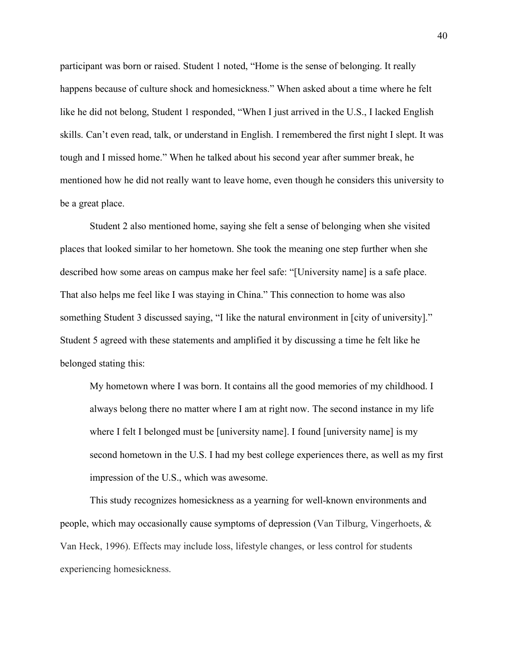participant was born or raised. Student 1 noted, "Home is the sense of belonging. It really happens because of culture shock and homesickness." When asked about a time where he felt like he did not belong, Student 1 responded, "When I just arrived in the U.S., I lacked English skills. Can't even read, talk, or understand in English. I remembered the first night I slept. It was tough and I missed home." When he talked about his second year after summer break, he mentioned how he did not really want to leave home, even though he considers this university to be a great place.

Student 2 also mentioned home, saying she felt a sense of belonging when she visited places that looked similar to her hometown. She took the meaning one step further when she described how some areas on campus make her feel safe: "[University name] is a safe place. That also helps me feel like I was staying in China." This connection to home was also something Student 3 discussed saying, "I like the natural environment in [city of university]." Student 5 agreed with these statements and amplified it by discussing a time he felt like he belonged stating this:

My hometown where I was born. It contains all the good memories of my childhood. I always belong there no matter where I am at right now. The second instance in my life where I felt I belonged must be [university name]. I found [university name] is my second hometown in the U.S. I had my best college experiences there, as well as my first impression of the U.S., which was awesome.

This study recognizes homesickness as a yearning for well-known environments and people, which may occasionally cause symptoms of depression (Van Tilburg, Vingerhoets, & Van Heck, 1996). Effects may include loss, lifestyle changes, or less control for students experiencing homesickness.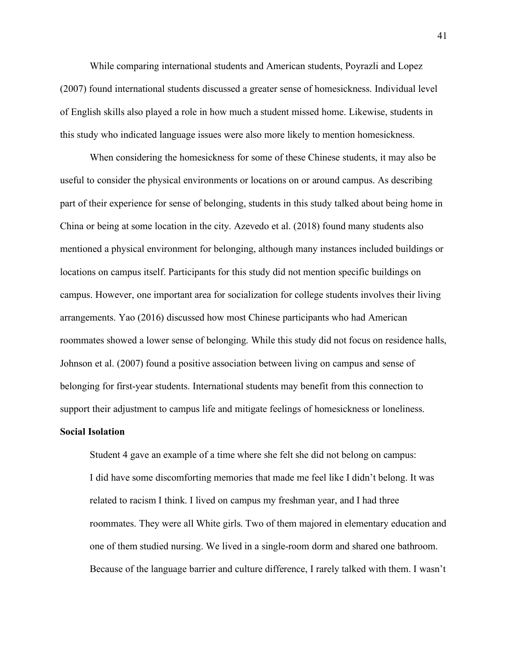While comparing international students and American students, Poyrazli and Lopez (2007) found international students discussed a greater sense of homesickness. Individual level of English skills also played a role in how much a student missed home. Likewise, students in this study who indicated language issues were also more likely to mention homesickness.

When considering the homesickness for some of these Chinese students, it may also be useful to consider the physical environments or locations on or around campus. As describing part of their experience for sense of belonging, students in this study talked about being home in China or being at some location in the city. Azevedo et al. (2018) found many students also mentioned a physical environment for belonging, although many instances included buildings or locations on campus itself. Participants for this study did not mention specific buildings on campus. However, one important area for socialization for college students involves their living arrangements. Yao (2016) discussed how most Chinese participants who had American roommates showed a lower sense of belonging. While this study did not focus on residence halls, Johnson et al. (2007) found a positive association between living on campus and sense of belonging for first-year students. International students may benefit from this connection to support their adjustment to campus life and mitigate feelings of homesickness or loneliness.

# **Social Isolation**

Student 4 gave an example of a time where she felt she did not belong on campus: I did have some discomforting memories that made me feel like I didn't belong. It was related to racism I think. I lived on campus my freshman year, and I had three roommates. They were all White girls. Two of them majored in elementary education and one of them studied nursing. We lived in a single-room dorm and shared one bathroom. Because of the language barrier and culture difference, I rarely talked with them. I wasn't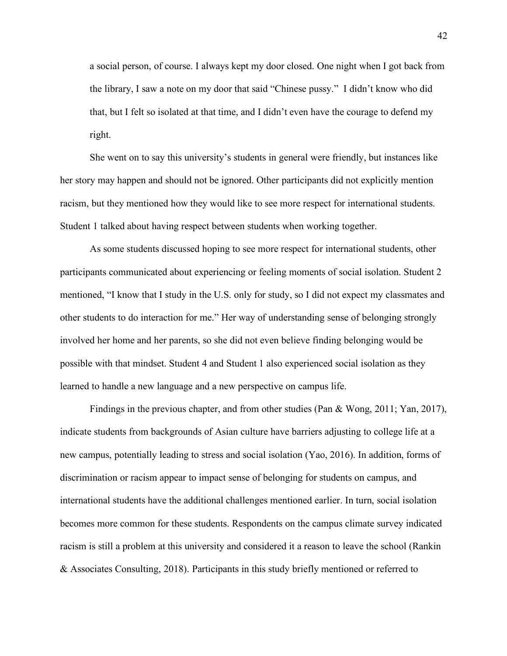a social person, of course. I always kept my door closed. One night when I got back from the library, I saw a note on my door that said "Chinese pussy." I didn't know who did that, but I felt so isolated at that time, and I didn't even have the courage to defend my right.

She went on to say this university's students in general were friendly, but instances like her story may happen and should not be ignored. Other participants did not explicitly mention racism, but they mentioned how they would like to see more respect for international students. Student 1 talked about having respect between students when working together.

As some students discussed hoping to see more respect for international students, other participants communicated about experiencing or feeling moments of social isolation. Student 2 mentioned, "I know that I study in the U.S. only for study, so I did not expect my classmates and other students to do interaction for me." Her way of understanding sense of belonging strongly involved her home and her parents, so she did not even believe finding belonging would be possible with that mindset. Student 4 and Student 1 also experienced social isolation as they learned to handle a new language and a new perspective on campus life.

Findings in the previous chapter, and from other studies (Pan & Wong, 2011; Yan, 2017), indicate students from backgrounds of Asian culture have barriers adjusting to college life at a new campus, potentially leading to stress and social isolation (Yao, 2016). In addition, forms of discrimination or racism appear to impact sense of belonging for students on campus, and international students have the additional challenges mentioned earlier. In turn, social isolation becomes more common for these students. Respondents on the campus climate survey indicated racism is still a problem at this university and considered it a reason to leave the school (Rankin & Associates Consulting, 2018). Participants in this study briefly mentioned or referred to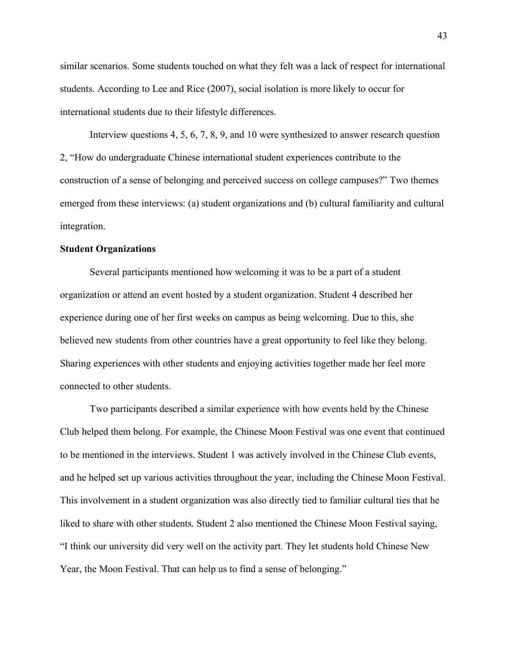similar scenarios. Some students touched on what they felt was a lack of respect for international students. According to Lee and Rice (2007), social isolation is more likely to occur for international students due to their lifestyle differences.

Interview questions 4, 5, 6, 7, 8, 9, and 10 were synthesized to answer research question 2, "How do undergraduate Chinese international student experiences contribute to the construction of a sense of belonging and perceived success on college campuses?" Two themes emerged from these interviews: (a) student organizations and (b) cultural familiarity and cultural integration.

# **Student Organizations**

Several participants mentioned how welcoming it was to be a part of a student organization or attend an event hosted by a student organization. Student 4 described her experience during one of her first weeks on campus as being welcoming. Due to this, she believed new students from other countries have a great opportunity to feel like they belong. Sharing experiences with other students and enjoying activities together made her feel more connected to other students.

Two participants described a similar experience with how events held by the Chinese Club helped them belong. For example, the Chinese Moon Festival was one event that continued to be mentioned in the interviews. Student 1 was actively involved in the Chinese Club events, and he helped set up various activities throughout the year, including the Chinese Moon Festival. This involvement in a student organization was also directly tied to familiar cultural ties that he liked to share with other students. Student 2 also mentioned the Chinese Moon Festival saying, "I think our university did very well on the activity part. They let students hold Chinese New Year, the Moon Festival. That can help us to find a sense of belonging."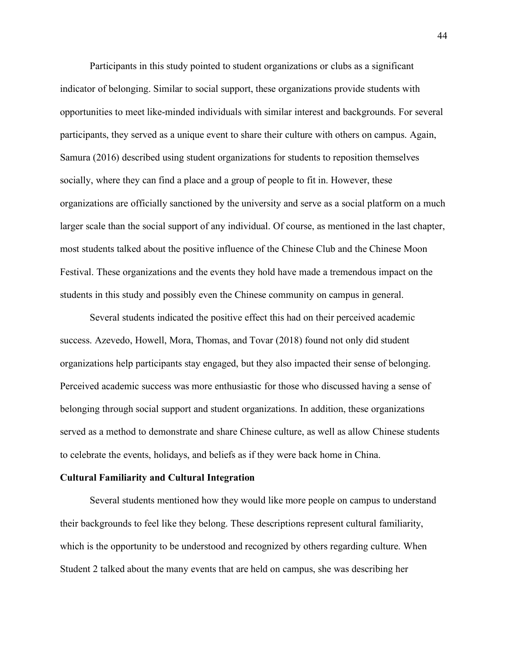Participants in this study pointed to student organizations or clubs as a significant indicator of belonging. Similar to social support, these organizations provide students with opportunities to meet like-minded individuals with similar interest and backgrounds. For several participants, they served as a unique event to share their culture with others on campus. Again, Samura (2016) described using student organizations for students to reposition themselves socially, where they can find a place and a group of people to fit in. However, these organizations are officially sanctioned by the university and serve as a social platform on a much larger scale than the social support of any individual. Of course, as mentioned in the last chapter, most students talked about the positive influence of the Chinese Club and the Chinese Moon Festival. These organizations and the events they hold have made a tremendous impact on the students in this study and possibly even the Chinese community on campus in general.

Several students indicated the positive effect this had on their perceived academic success. Azevedo, Howell, Mora, Thomas, and Tovar (2018) found not only did student organizations help participants stay engaged, but they also impacted their sense of belonging. Perceived academic success was more enthusiastic for those who discussed having a sense of belonging through social support and student organizations. In addition, these organizations served as a method to demonstrate and share Chinese culture, as well as allow Chinese students to celebrate the events, holidays, and beliefs as if they were back home in China.

# **Cultural Familiarity and Cultural Integration**

Several students mentioned how they would like more people on campus to understand their backgrounds to feel like they belong. These descriptions represent cultural familiarity, which is the opportunity to be understood and recognized by others regarding culture. When Student 2 talked about the many events that are held on campus, she was describing her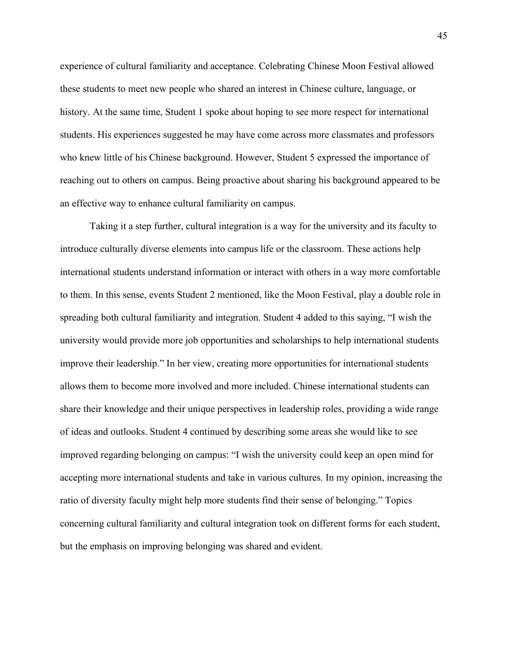experience of cultural familiarity and acceptance. Celebrating Chinese Moon Festival allowed these students to meet new people who shared an interest in Chinese culture, language, or history. At the same time, Student 1 spoke about hoping to see more respect for international students. His experiences suggested he may have come across more classmates and professors who knew little of his Chinese background. However, Student 5 expressed the importance of reaching out to others on campus. Being proactive about sharing his background appeared to be an effective way to enhance cultural familiarity on campus.

Taking it a step further, cultural integration is a way for the university and its faculty to introduce culturally diverse elements into campus life or the classroom. These actions help international students understand information or interact with others in a way more comfortable to them. In this sense, events Student 2 mentioned, like the Moon Festival, play a double role in spreading both cultural familiarity and integration. Student 4 added to this saying, "I wish the university would provide more job opportunities and scholarships to help international students improve their leadership." In her view, creating more opportunities for international students allows them to become more involved and more included. Chinese international students can share their knowledge and their unique perspectives in leadership roles, providing a wide range of ideas and outlooks. Student 4 continued by describing some areas she would like to see improved regarding belonging on campus: "I wish the university could keep an open mind for accepting more international students and take in various cultures. In my opinion, increasing the ratio of diversity faculty might help more students find their sense of belonging." Topics concerning cultural familiarity and cultural integration took on different forms for each student, but the emphasis on improving belonging was shared and evident.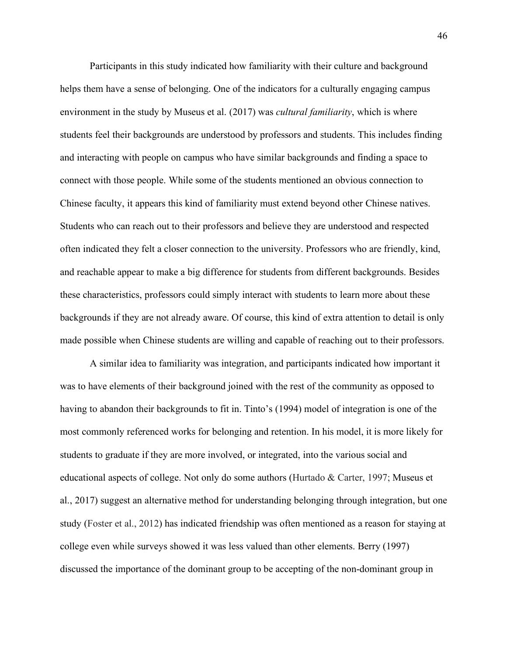Participants in this study indicated how familiarity with their culture and background helps them have a sense of belonging. One of the indicators for a culturally engaging campus environment in the study by Museus et al. (2017) was *cultural familiarity*, which is where students feel their backgrounds are understood by professors and students. This includes finding and interacting with people on campus who have similar backgrounds and finding a space to connect with those people. While some of the students mentioned an obvious connection to Chinese faculty, it appears this kind of familiarity must extend beyond other Chinese natives. Students who can reach out to their professors and believe they are understood and respected often indicated they felt a closer connection to the university. Professors who are friendly, kind, and reachable appear to make a big difference for students from different backgrounds. Besides these characteristics, professors could simply interact with students to learn more about these backgrounds if they are not already aware. Of course, this kind of extra attention to detail is only made possible when Chinese students are willing and capable of reaching out to their professors.

A similar idea to familiarity was integration, and participants indicated how important it was to have elements of their background joined with the rest of the community as opposed to having to abandon their backgrounds to fit in. Tinto's (1994) model of integration is one of the most commonly referenced works for belonging and retention. In his model, it is more likely for students to graduate if they are more involved, or integrated, into the various social and educational aspects of college. Not only do some authors (Hurtado & Carter, 1997; Museus et al., 2017) suggest an alternative method for understanding belonging through integration, but one study (Foster et al., 2012) has indicated friendship was often mentioned as a reason for staying at college even while surveys showed it was less valued than other elements. Berry (1997) discussed the importance of the dominant group to be accepting of the non-dominant group in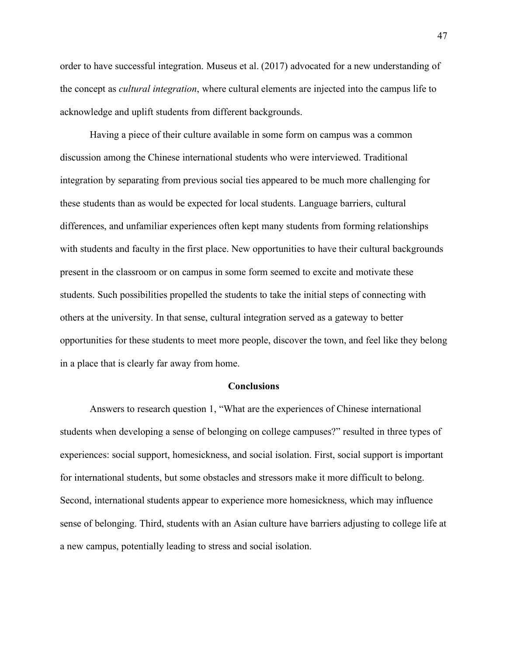order to have successful integration. Museus et al. (2017) advocated for a new understanding of the concept as *cultural integration*, where cultural elements are injected into the campus life to acknowledge and uplift students from different backgrounds.

Having a piece of their culture available in some form on campus was a common discussion among the Chinese international students who were interviewed. Traditional integration by separating from previous social ties appeared to be much more challenging for these students than as would be expected for local students. Language barriers, cultural differences, and unfamiliar experiences often kept many students from forming relationships with students and faculty in the first place. New opportunities to have their cultural backgrounds present in the classroom or on campus in some form seemed to excite and motivate these students. Such possibilities propelled the students to take the initial steps of connecting with others at the university. In that sense, cultural integration served as a gateway to better opportunities for these students to meet more people, discover the town, and feel like they belong in a place that is clearly far away from home.

#### **Conclusions**

Answers to research question 1, "What are the experiences of Chinese international students when developing a sense of belonging on college campuses?" resulted in three types of experiences: social support, homesickness, and social isolation. First, social support is important for international students, but some obstacles and stressors make it more difficult to belong. Second, international students appear to experience more homesickness, which may influence sense of belonging. Third, students with an Asian culture have barriers adjusting to college life at a new campus, potentially leading to stress and social isolation.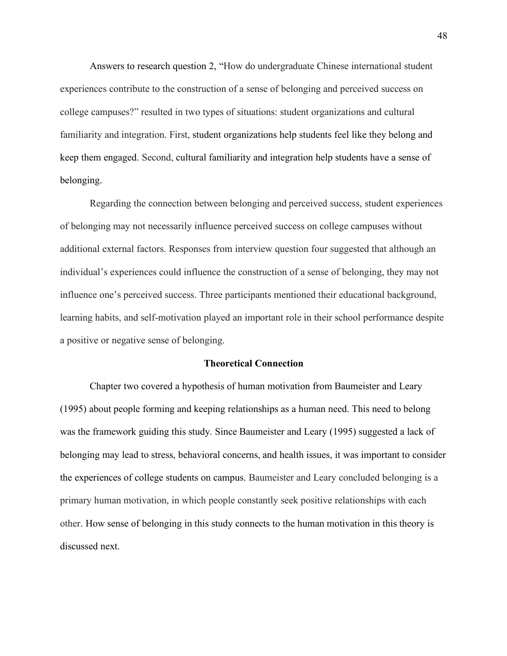Answers to research question 2, "How do undergraduate Chinese international student experiences contribute to the construction of a sense of belonging and perceived success on college campuses?" resulted in two types of situations: student organizations and cultural familiarity and integration. First, student organizations help students feel like they belong and keep them engaged. Second, cultural familiarity and integration help students have a sense of belonging.

Regarding the connection between belonging and perceived success, student experiences of belonging may not necessarily influence perceived success on college campuses without additional external factors. Responses from interview question four suggested that although an individual's experiences could influence the construction of a sense of belonging, they may not influence one's perceived success. Three participants mentioned their educational background, learning habits, and self-motivation played an important role in their school performance despite a positive or negative sense of belonging.

## **Theoretical Connection**

Chapter two covered a hypothesis of human motivation from Baumeister and Leary (1995) about people forming and keeping relationships as a human need. This need to belong was the framework guiding this study. Since Baumeister and Leary (1995) suggested a lack of belonging may lead to stress, behavioral concerns, and health issues, it was important to consider the experiences of college students on campus. Baumeister and Leary concluded belonging is a primary human motivation, in which people constantly seek positive relationships with each other. How sense of belonging in this study connects to the human motivation in this theory is discussed next.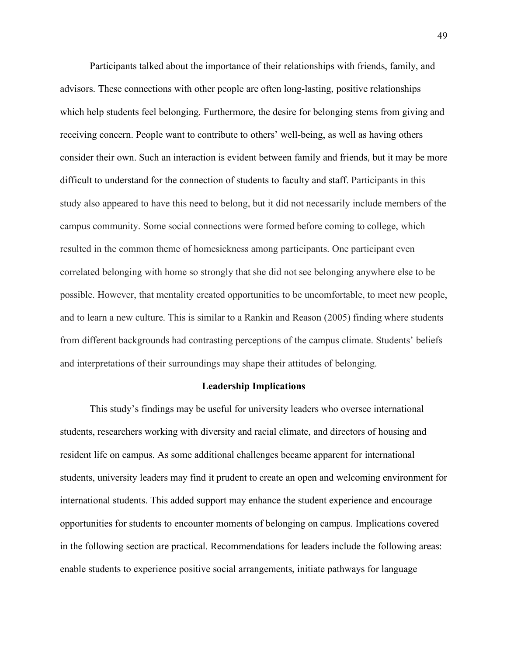Participants talked about the importance of their relationships with friends, family, and advisors. These connections with other people are often long-lasting, positive relationships which help students feel belonging. Furthermore, the desire for belonging stems from giving and receiving concern. People want to contribute to others' well-being, as well as having others consider their own. Such an interaction is evident between family and friends, but it may be more difficult to understand for the connection of students to faculty and staff. Participants in this study also appeared to have this need to belong, but it did not necessarily include members of the campus community. Some social connections were formed before coming to college, which resulted in the common theme of homesickness among participants. One participant even correlated belonging with home so strongly that she did not see belonging anywhere else to be possible. However, that mentality created opportunities to be uncomfortable, to meet new people, and to learn a new culture. This is similar to a Rankin and Reason (2005) finding where students from different backgrounds had contrasting perceptions of the campus climate. Students' beliefs and interpretations of their surroundings may shape their attitudes of belonging.

# **Leadership Implications**

This study's findings may be useful for university leaders who oversee international students, researchers working with diversity and racial climate, and directors of housing and resident life on campus. As some additional challenges became apparent for international students, university leaders may find it prudent to create an open and welcoming environment for international students. This added support may enhance the student experience and encourage opportunities for students to encounter moments of belonging on campus. Implications covered in the following section are practical. Recommendations for leaders include the following areas: enable students to experience positive social arrangements, initiate pathways for language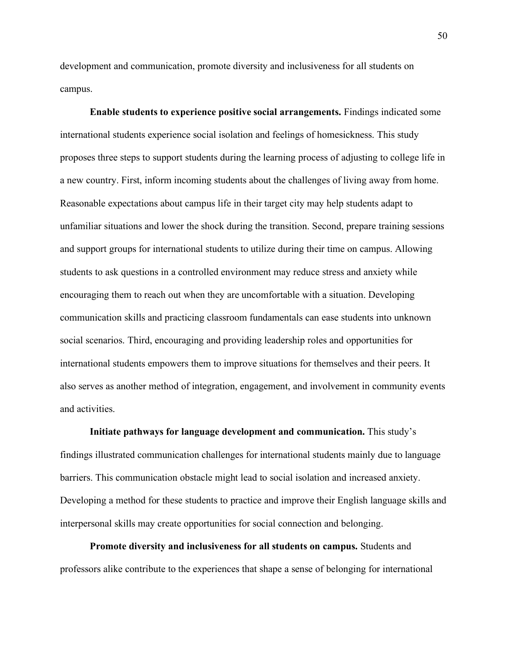development and communication, promote diversity and inclusiveness for all students on campus.

**Enable students to experience positive social arrangements.** Findings indicated some international students experience social isolation and feelings of homesickness. This study proposes three steps to support students during the learning process of adjusting to college life in a new country. First, inform incoming students about the challenges of living away from home. Reasonable expectations about campus life in their target city may help students adapt to unfamiliar situations and lower the shock during the transition. Second, prepare training sessions and support groups for international students to utilize during their time on campus. Allowing students to ask questions in a controlled environment may reduce stress and anxiety while encouraging them to reach out when they are uncomfortable with a situation. Developing communication skills and practicing classroom fundamentals can ease students into unknown social scenarios. Third, encouraging and providing leadership roles and opportunities for international students empowers them to improve situations for themselves and their peers. It also serves as another method of integration, engagement, and involvement in community events and activities.

**Initiate pathways for language development and communication.** This study's findings illustrated communication challenges for international students mainly due to language barriers. This communication obstacle might lead to social isolation and increased anxiety. Developing a method for these students to practice and improve their English language skills and interpersonal skills may create opportunities for social connection and belonging.

**Promote diversity and inclusiveness for all students on campus.** Students and professors alike contribute to the experiences that shape a sense of belonging for international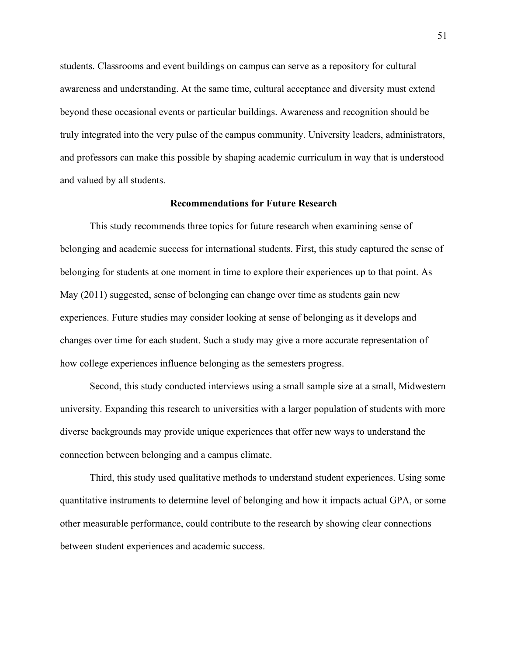students. Classrooms and event buildings on campus can serve as a repository for cultural awareness and understanding. At the same time, cultural acceptance and diversity must extend beyond these occasional events or particular buildings. Awareness and recognition should be truly integrated into the very pulse of the campus community. University leaders, administrators, and professors can make this possible by shaping academic curriculum in way that is understood and valued by all students.

## **Recommendations for Future Research**

This study recommends three topics for future research when examining sense of belonging and academic success for international students. First, this study captured the sense of belonging for students at one moment in time to explore their experiences up to that point. As May (2011) suggested, sense of belonging can change over time as students gain new experiences. Future studies may consider looking at sense of belonging as it develops and changes over time for each student. Such a study may give a more accurate representation of how college experiences influence belonging as the semesters progress.

Second, this study conducted interviews using a small sample size at a small, Midwestern university. Expanding this research to universities with a larger population of students with more diverse backgrounds may provide unique experiences that offer new ways to understand the connection between belonging and a campus climate.

Third, this study used qualitative methods to understand student experiences. Using some quantitative instruments to determine level of belonging and how it impacts actual GPA, or some other measurable performance, could contribute to the research by showing clear connections between student experiences and academic success.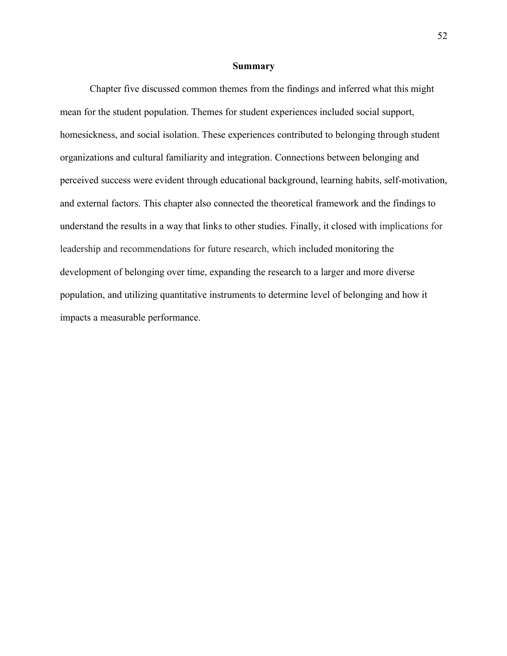#### **Summary**

Chapter five discussed common themes from the findings and inferred what this might mean for the student population. Themes for student experiences included social support, homesickness, and social isolation. These experiences contributed to belonging through student organizations and cultural familiarity and integration. Connections between belonging and perceived success were evident through educational background, learning habits, self-motivation, and external factors. This chapter also connected the theoretical framework and the findings to understand the results in a way that links to other studies. Finally, it closed with implications for leadership and recommendations for future research, which included monitoring the development of belonging over time, expanding the research to a larger and more diverse population, and utilizing quantitative instruments to determine level of belonging and how it impacts a measurable performance.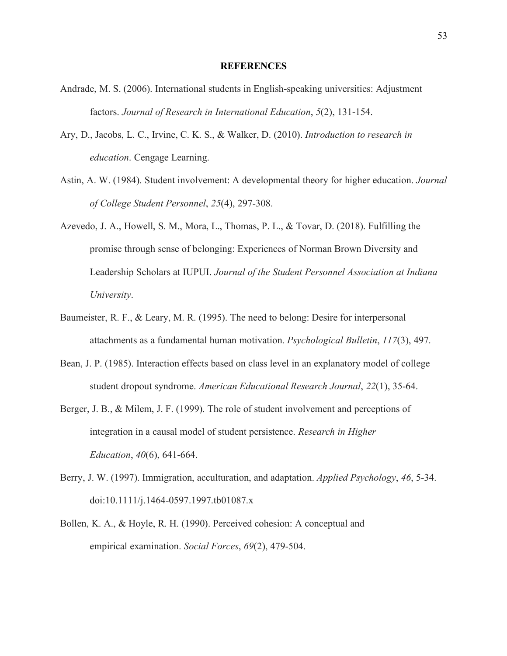#### **REFERENCES**

- Andrade, M. S. (2006). International students in English-speaking universities: Adjustment factors. *Journal of Research in International Education*, *5*(2), 131-154.
- Ary, D., Jacobs, L. C., Irvine, C. K. S., & Walker, D. (2010). *Introduction to research in education*. Cengage Learning.
- Astin, A. W. (1984). Student involvement: A developmental theory for higher education. *Journal of College Student Personnel*, *25*(4), 297-308.
- Azevedo, J. A., Howell, S. M., Mora, L., Thomas, P. L., & Tovar, D. (2018). Fulfilling the promise through sense of belonging: Experiences of Norman Brown Diversity and Leadership Scholars at IUPUI. *Journal of the Student Personnel Association at Indiana University*.
- Baumeister, R. F., & Leary, M. R. (1995). The need to belong: Desire for interpersonal attachments as a fundamental human motivation. *Psychological Bulletin*, *117*(3), 497.
- Bean, J. P. (1985). Interaction effects based on class level in an explanatory model of college student dropout syndrome. *American Educational Research Journal*, *22*(1), 35-64.
- Berger, J. B., & Milem, J. F. (1999). The role of student involvement and perceptions of integration in a causal model of student persistence. *Research in Higher Education*, *40*(6), 641-664.
- Berry, J. W. (1997). Immigration, acculturation, and adaptation. *Applied Psychology*, *46*, 5-34. doi:10.1111/j.1464-0597.1997.tb01087.x
- Bollen, K. A., & Hoyle, R. H. (1990). Perceived cohesion: A conceptual and empirical examination. *Social Forces*, *69*(2), 479-504.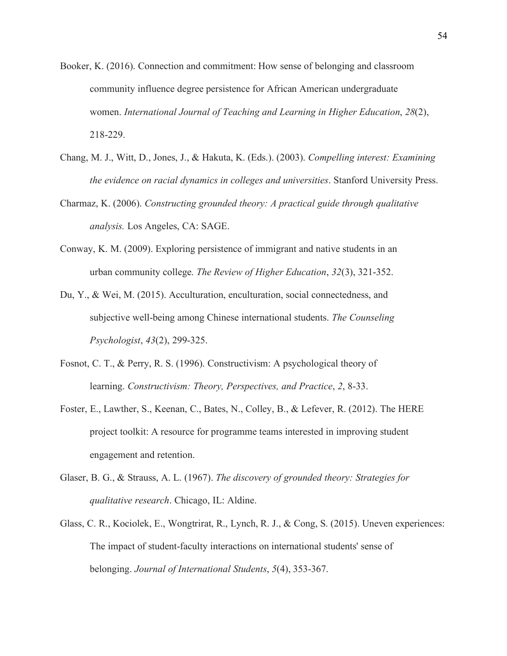- Booker, K. (2016). Connection and commitment: How sense of belonging and classroom community influence degree persistence for African American undergraduate women. *International Journal of Teaching and Learning in Higher Education*, *28*(2), 218-229.
- Chang, M. J., Witt, D., Jones, J., & Hakuta, K. (Eds.). (2003). *Compelling interest: Examining the evidence on racial dynamics in colleges and universities*. Stanford University Press.
- Charmaz, K. (2006). *Constructing grounded theory: A practical guide through qualitative analysis.* Los Angeles, CA: SAGE.
- Conway, K. M. (2009). Exploring persistence of immigrant and native students in an urban community college. *The Review of Higher Education*, *32*(3), 321-352.
- Du, Y., & Wei, M. (2015). Acculturation, enculturation, social connectedness, and subjective well-being among Chinese international students. *The Counseling Psychologist*, *43*(2), 299-325.
- Fosnot, C. T., & Perry, R. S. (1996). Constructivism: A psychological theory of learning. *Constructivism: Theory, Perspectives, and Practice*, *2*, 8-33.
- Foster, E., Lawther, S., Keenan, C., Bates, N., Colley, B., & Lefever, R. (2012). The HERE project toolkit: A resource for programme teams interested in improving student engagement and retention.
- Glaser, B. G., & Strauss, A. L. (1967). *The discovery of grounded theory: Strategies for qualitative research*. Chicago, IL: Aldine.
- Glass, C. R., Kociolek, E., Wongtrirat, R., Lynch, R. J., & Cong, S. (2015). Uneven experiences: The impact of student-faculty interactions on international students' sense of belonging. *Journal of International Students*, *5*(4), 353-367.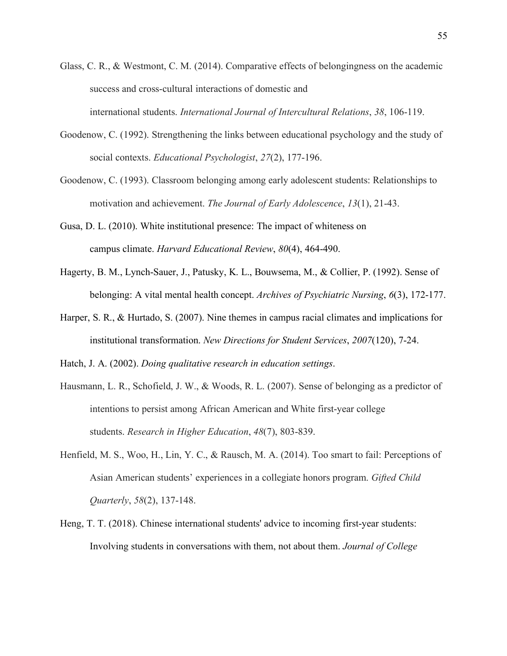- Glass, C. R., & Westmont, C. M. (2014). Comparative effects of belongingness on the academic success and cross-cultural interactions of domestic and international students. *International Journal of Intercultural Relations*, *38*, 106-119.
- Goodenow, C. (1992). Strengthening the links between educational psychology and the study of social contexts. *Educational Psychologist*, *27*(2), 177-196.
- Goodenow, C. (1993). Classroom belonging among early adolescent students: Relationships to motivation and achievement. *The Journal of Early Adolescence*, *13*(1), 21-43.
- Gusa, D. L. (2010). White institutional presence: The impact of whiteness on campus climate. *Harvard Educational Review*, *80*(4), 464-490.
- Hagerty, B. M., Lynch-Sauer, J., Patusky, K. L., Bouwsema, M., & Collier, P. (1992). Sense of belonging: A vital mental health concept. *Archives of Psychiatric Nursing*, *6*(3), 172-177.
- Harper, S. R., & Hurtado, S. (2007). Nine themes in campus racial climates and implications for institutional transformation. *New Directions for Student Services*, *2007*(120), 7-24.
- Hatch, J. A. (2002). *Doing qualitative research in education settings*.
- Hausmann, L. R., Schofield, J. W., & Woods, R. L. (2007). Sense of belonging as a predictor of intentions to persist among African American and White first-year college students. *Research in Higher Education*, *48*(7), 803-839.
- Henfield, M. S., Woo, H., Lin, Y. C., & Rausch, M. A. (2014). Too smart to fail: Perceptions of Asian American students' experiences in a collegiate honors program. *Gifted Child Quarterly*, *58*(2), 137-148.
- Heng, T. T. (2018). Chinese international students' advice to incoming first-year students: Involving students in conversations with them, not about them. *Journal of College*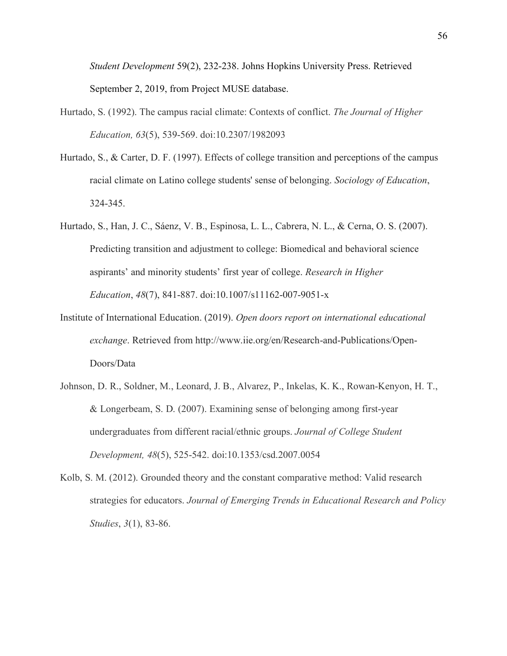*Student Development* 59(2), 232-238. Johns Hopkins University Press. Retrieved September 2, 2019, from Project MUSE database.

- Hurtado, S. (1992). The campus racial climate: Contexts of conflict. *The Journal of Higher Education, 63*(5), 539-569. doi:10.2307/1982093
- Hurtado, S., & Carter, D. F. (1997). Effects of college transition and perceptions of the campus racial climate on Latino college students' sense of belonging. *Sociology of Education*, 324-345.
- Hurtado, S., Han, J. C., Sáenz, V. B., Espinosa, L. L., Cabrera, N. L., & Cerna, O. S. (2007). Predicting transition and adjustment to college: Biomedical and behavioral science aspirants' and minority students' first year of college. *Research in Higher Education*, *48*(7), 841-887. doi:10.1007/s11162-007-9051-x
- Institute of International Education. (2019). *Open doors report on international educational exchange*. Retrieved from http://www.iie.org/en/Research-and-Publications/Open-Doors/Data
- Johnson, D. R., Soldner, M., Leonard, J. B., Alvarez, P., Inkelas, K. K., Rowan-Kenyon, H. T., & Longerbeam, S. D. (2007). Examining sense of belonging among first-year undergraduates from different racial/ethnic groups. *Journal of College Student Development, 48*(5), 525-542. doi:10.1353/csd.2007.0054
- Kolb, S. M. (2012). Grounded theory and the constant comparative method: Valid research strategies for educators. *Journal of Emerging Trends in Educational Research and Policy Studies*, *3*(1), 83-86.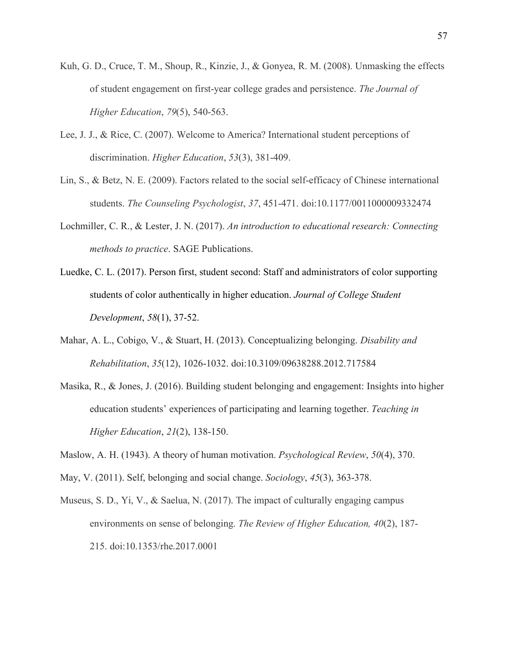- Kuh, G. D., Cruce, T. M., Shoup, R., Kinzie, J., & Gonyea, R. M. (2008). Unmasking the effects of student engagement on first-year college grades and persistence. *The Journal of Higher Education*, *79*(5), 540-563.
- Lee, J. J., & Rice, C. (2007). Welcome to America? International student perceptions of discrimination. *Higher Education*, *53*(3), 381-409.
- Lin, S., & Betz, N. E. (2009). Factors related to the social self-efficacy of Chinese international students. *The Counseling Psychologist*, *37*, 451-471. doi:10.1177/0011000009332474
- Lochmiller, C. R., & Lester, J. N. (2017). *An introduction to educational research: Connecting methods to practice*. SAGE Publications.
- Luedke, C. L. (2017). Person first, student second: Staff and administrators of color supporting students of color authentically in higher education. *Journal of College Student Development*, *58*(1), 37-52.
- Mahar, A. L., Cobigo, V., & Stuart, H. (2013). Conceptualizing belonging. *Disability and Rehabilitation*, *35*(12), 1026-1032. doi:10.3109/09638288.2012.717584
- Masika, R., & Jones, J. (2016). Building student belonging and engagement: Insights into higher education students' experiences of participating and learning together. *Teaching in Higher Education*, *21*(2), 138-150.
- Maslow, A. H. (1943). A theory of human motivation. *Psychological Review*, *50*(4), 370.
- May, V. (2011). Self, belonging and social change. *Sociology*, *45*(3), 363-378.
- Museus, S. D., Yi, V., & Saelua, N. (2017). The impact of culturally engaging campus environments on sense of belonging. *The Review of Higher Education, 40*(2), 187- 215. doi:10.1353/rhe.2017.0001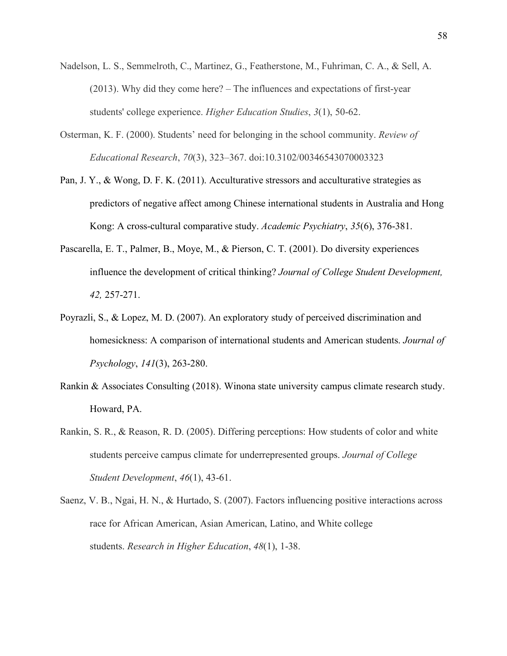- Nadelson, L. S., Semmelroth, C., Martinez, G., Featherstone, M., Fuhriman, C. A., & Sell, A. (2013). Why did they come here? – The influences and expectations of first-year students' college experience. *Higher Education Studies*, *3*(1), 50-62.
- Osterman, K. F. (2000). Students' need for belonging in the school community. *Review of Educational Research*, *70*(3), 323–367. doi:10.3102/00346543070003323
- Pan, J. Y., & Wong, D. F. K. (2011). Acculturative stressors and acculturative strategies as predictors of negative affect among Chinese international students in Australia and Hong Kong: A cross-cultural comparative study. *Academic Psychiatry*, *35*(6), 376-381.
- Pascarella, E. T., Palmer, B., Moye, M., & Pierson, C. T. (2001). Do diversity experiences influence the development of critical thinking? *Journal of College Student Development, 42,* 257-271.
- Poyrazli, S., & Lopez, M. D. (2007). An exploratory study of perceived discrimination and homesickness: A comparison of international students and American students. *Journal of Psychology*, *141*(3), 263-280.
- Rankin & Associates Consulting (2018). Winona state university campus climate research study. Howard, PA.
- Rankin, S. R., & Reason, R. D. (2005). Differing perceptions: How students of color and white students perceive campus climate for underrepresented groups. *Journal of College Student Development*, *46*(1), 43-61.
- Saenz, V. B., Ngai, H. N., & Hurtado, S. (2007). Factors influencing positive interactions across race for African American, Asian American, Latino, and White college students. *Research in Higher Education*, *48*(1), 1-38.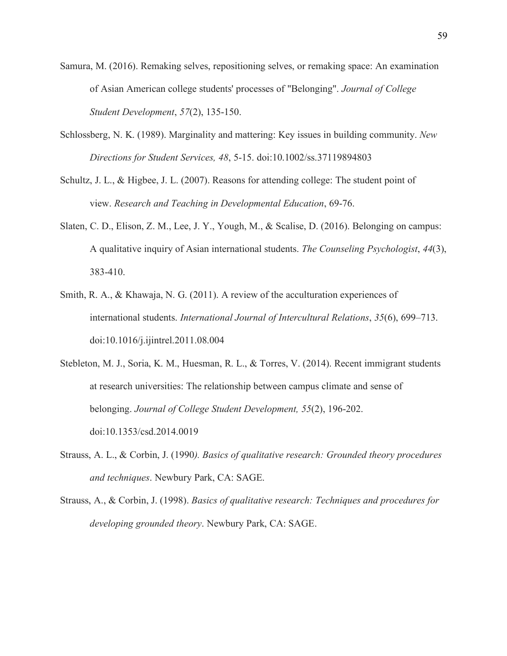- Samura, M. (2016). Remaking selves, repositioning selves, or remaking space: An examination of Asian American college students' processes of "Belonging". *Journal of College Student Development*, *57*(2), 135-150.
- Schlossberg, N. K. (1989). Marginality and mattering: Key issues in building community. *New Directions for Student Services, 48*, 5-15. doi:10.1002/ss.37119894803
- Schultz, J. L., & Higbee, J. L. (2007). Reasons for attending college: The student point of view. *Research and Teaching in Developmental Education*, 69-76.
- Slaten, C. D., Elison, Z. M., Lee, J. Y., Yough, M., & Scalise, D. (2016). Belonging on campus: A qualitative inquiry of Asian international students. *The Counseling Psychologist*, *44*(3), 383-410.
- Smith, R. A., & Khawaja, N. G. (2011). A review of the acculturation experiences of international students. *International Journal of Intercultural Relations*, *35*(6), 699–713. doi:10.1016/j.ijintrel.2011.08.004
- Stebleton, M. J., Soria, K. M., Huesman, R. L., & Torres, V. (2014). Recent immigrant students at research universities: The relationship between campus climate and sense of belonging. *Journal of College Student Development, 55*(2), 196-202. doi:10.1353/csd.2014.0019
- Strauss, A. L., & Corbin, J. (1990*). Basics of qualitative research: Grounded theory procedures and techniques*. Newbury Park, CA: SAGE.
- Strauss, A., & Corbin, J. (1998). *Basics of qualitative research: Techniques and procedures for developing grounded theory*. Newbury Park, CA: SAGE.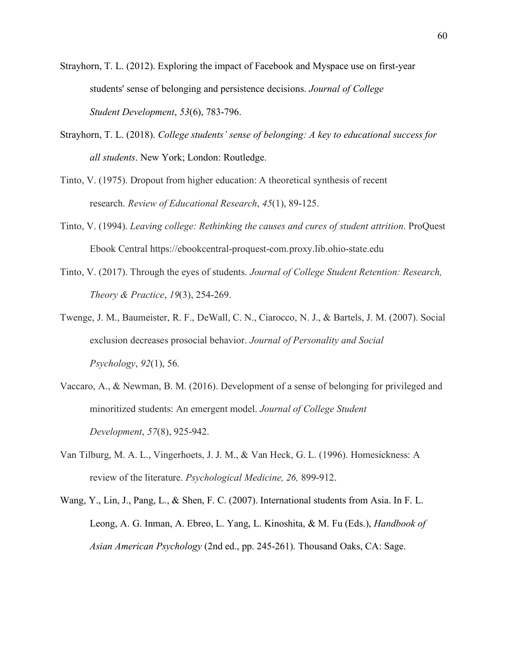Strayhorn, T. L. (2012). Exploring the impact of Facebook and Myspace use on first-year students' sense of belonging and persistence decisions. *Journal of College Student Development*, *53*(6), 783-796.

- Strayhorn, T. L. (2018). *College students' sense of belonging: A key to educational success for all students*. New York; London: Routledge.
- Tinto, V. (1975). Dropout from higher education: A theoretical synthesis of recent research. *Review of Educational Research*, *45*(1), 89-125.
- Tinto, V. (1994). *Leaving college: Rethinking the causes and cures of student attrition*. ProQuest Ebook Central https://ebookcentral-proquest-com.proxy.lib.ohio-state.edu
- Tinto, V. (2017). Through the eyes of students. *Journal of College Student Retention: Research, Theory & Practice*, *19*(3), 254-269.
- Twenge, J. M., Baumeister, R. F., DeWall, C. N., Ciarocco, N. J., & Bartels, J. M. (2007). Social exclusion decreases prosocial behavior. *Journal of Personality and Social Psychology*, *92*(1), 56.
- Vaccaro, A., & Newman, B. M. (2016). Development of a sense of belonging for privileged and minoritized students: An emergent model. *Journal of College Student Development*, *57*(8), 925-942.
- Van Tilburg, M. A. L., Vingerhoets, J. J. M., & Van Heck, G. L. (1996). Homesickness: A review of the literature. *Psychological Medicine, 26,* 899-912.
- Wang, Y., Lin, J., Pang, L., & Shen, F. C. (2007). International students from Asia. In F. L. Leong, A. G. Inman, A. Ebreo, L. Yang, L. Kinoshita, & M. Fu (Eds.), *Handbook of Asian American Psychology* (2nd ed., pp. 245-261). Thousand Oaks, CA: Sage.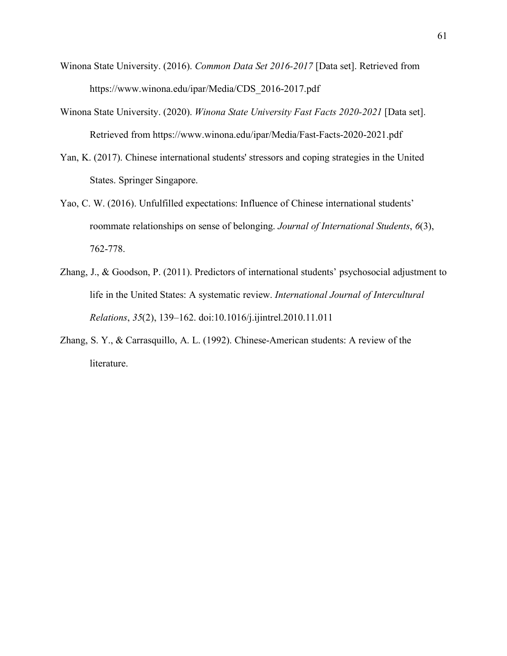- Winona State University. (2016). *Common Data Set 2016-2017* [Data set]. Retrieved from https://www.winona.edu/ipar/Media/CDS\_2016-2017.pdf
- Winona State University. (2020). *Winona State University Fast Facts 2020-2021* [Data set]. Retrieved from https://www.winona.edu/ipar/Media/Fast-Facts-2020-2021.pdf
- Yan, K. (2017). Chinese international students' stressors and coping strategies in the United States. Springer Singapore.
- Yao, C. W. (2016). Unfulfilled expectations: Influence of Chinese international students' roommate relationships on sense of belonging. *Journal of International Students*, *6*(3), 762-778.
- Zhang, J., & Goodson, P. (2011). Predictors of international students' psychosocial adjustment to life in the United States: A systematic review. *International Journal of Intercultural Relations*, *35*(2), 139–162. doi:10.1016/j.ijintrel.2010.11.011
- Zhang, S. Y., & Carrasquillo, A. L. (1992). Chinese-American students: A review of the literature.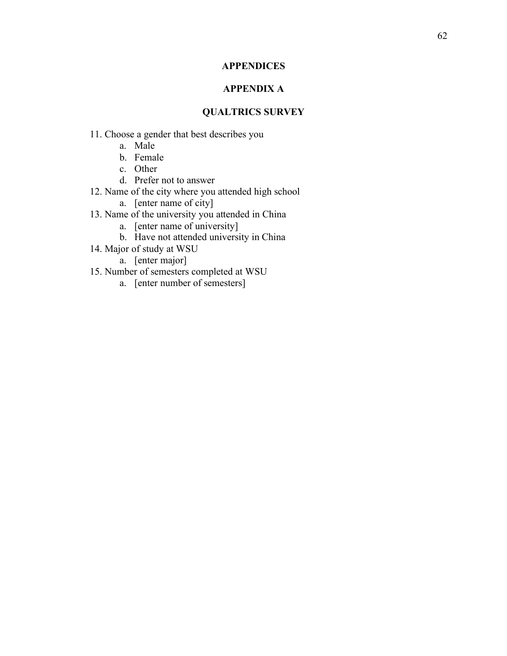# **APPENDICES**

# **APPENDIX A**

# **QUALTRICS SURVEY**

- 11. Choose a gender that best describes you
	- a. Male
	- b. Female
	- c. Other
	- d. Prefer not to answer
- 12. Name of the city where you attended high school
	- a. [enter name of city]
- 13. Name of the university you attended in China
	- a. [enter name of university]
	- b. Have not attended university in China
- 14. Major of study at WSU
	- a. [enter major]
- 15. Number of semesters completed at WSU
	- a. [enter number of semesters]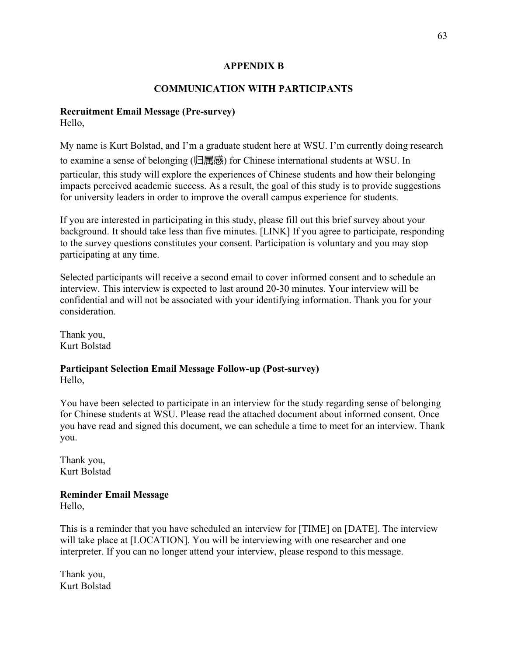# **APPENDIX B**

# **COMMUNICATION WITH PARTICIPANTS**

# **Recruitment Email Message (Pre-survey)**

Hello,

My name is Kurt Bolstad, and I'm a graduate student here at WSU. I'm currently doing research to examine a sense of belonging (归属感) for Chinese international students at WSU. In particular, this study will explore the experiences of Chinese students and how their belonging impacts perceived academic success. As a result, the goal of this study is to provide suggestions for university leaders in order to improve the overall campus experience for students.

If you are interested in participating in this study, please fill out this brief survey about your background. It should take less than five minutes. [LINK] If you agree to participate, responding to the survey questions constitutes your consent. Participation is voluntary and you may stop participating at any time.

Selected participants will receive a second email to cover informed consent and to schedule an interview. This interview is expected to last around 20-30 minutes. Your interview will be confidential and will not be associated with your identifying information. Thank you for your consideration.

Thank you, Kurt Bolstad

# **Participant Selection Email Message Follow-up (Post-survey)** Hello,

You have been selected to participate in an interview for the study regarding sense of belonging for Chinese students at WSU. Please read the attached document about informed consent. Once you have read and signed this document, we can schedule a time to meet for an interview. Thank you.

Thank you, Kurt Bolstad

# **Reminder Email Message**

Hello,

This is a reminder that you have scheduled an interview for [TIME] on [DATE]. The interview will take place at [LOCATION]. You will be interviewing with one researcher and one interpreter. If you can no longer attend your interview, please respond to this message.

Thank you, Kurt Bolstad